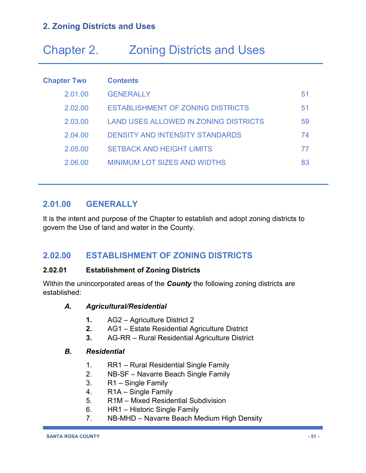# Chapter 2. Zoning Districts and Uses

| <b>Chapter Two</b> | <b>Contents</b>                              |    |
|--------------------|----------------------------------------------|----|
| 2.01.00            | <b>GENERALLY</b>                             | 51 |
| 2.02.00            | <b>ESTABLISHMENT OF ZONING DISTRICTS</b>     | 51 |
| 2.03.00            | <b>LAND USES ALLOWED IN ZONING DISTRICTS</b> | 59 |
| 2.04.00            | <b>DENSITY AND INTENSITY STANDARDS</b>       | 74 |
| 2.05.00            | <b>SETBACK AND HEIGHT LIMITS</b>             | 77 |
| 2.06.00            | <b>MINIMUM LOT SIZES AND WIDTHS</b>          | 83 |

## **2.01.00 GENERALLY**

It is the intent and purpose of the Chapter to establish and adopt zoning districts to govern the Use of land and water in the County.

## **2.02.00 ESTABLISHMENT OF ZONING DISTRICTS**

## **2.02.01 Establishment of Zoning Districts**

Within the unincorporated areas of the *County* the following zoning districts are established:

#### *A. Agricultural/Residential*

- **1.** AG2 Agriculture District 2
- **2.** AG1 Estate Residential Agriculture District
- **3.** AG-RR Rural Residential Agriculture District

#### *B. Residential*

- 1. RR1 Rural Residential Single Family
- 2. NB-SF Navarre Beach Single Family
- 3. R1 Single Family
- 4. R1A Single Family
- 5. R1M Mixed Residential Subdivision
- 6. HR1 Historic Single Family
- 7. NB-MHD Navarre Beach Medium High Density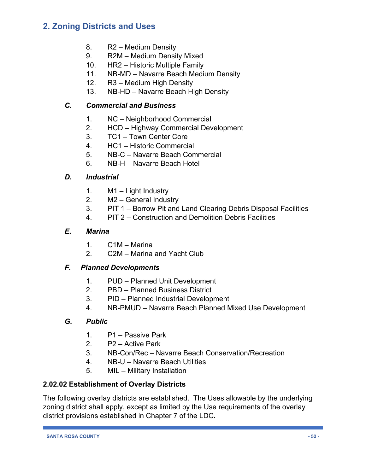- 8. R2 Medium Density
- 9. R2M Medium Density Mixed
- 10. HR2 Historic Multiple Family
- 11. NB-MD Navarre Beach Medium Density
- 12. R3 Medium High Density
- 13. NB-HD Navarre Beach High Density

## *C. Commercial and Business*

- 1. NC Neighborhood Commercial
- 2. HCD Highway Commercial Development
- 3. TC1 Town Center Core
- 4. HC1 Historic Commercial
- 5. NB-C Navarre Beach Commercial
- 6. NB-H Navarre Beach Hotel

### *D. Industrial*

- 1. M1 Light Industry
- 2. M2 General Industry
- 3. PIT 1 Borrow Pit and Land Clearing Debris Disposal Facilities
- 4. PIT 2 Construction and Demolition Debris Facilities

### *E. Marina*

- 1. C1M Marina
- 2. C2M Marina and Yacht Club

## *F. Planned Developments*

- 1. PUD Planned Unit Development
- 2. PBD Planned Business District
- 3. PID Planned Industrial Development
- 4. NB-PMUD Navarre Beach Planned Mixed Use Development

#### *G. Public*

- 1. P1 Passive Park
- 2. P2 Active Park
- 3. NB-Con/Rec Navarre Beach Conservation/Recreation
- 4. NB-U Navarre Beach Utilities
- 5. MIL Military Installation

## **2.02.02 Establishment of Overlay Districts**

The following overlay districts are established. The Uses allowable by the underlying zoning district shall apply, except as limited by the Use requirements of the overlay district provisions established in Chapter 7 of the LDC*.*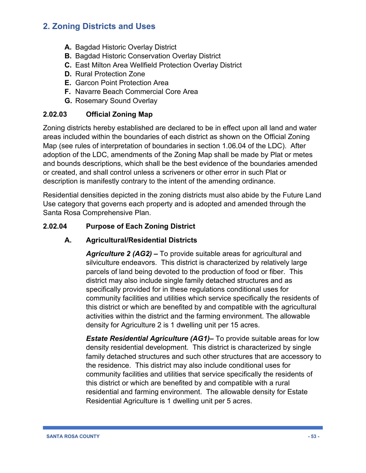- **A.** Bagdad Historic Overlay District
- **B.** Bagdad Historic Conservation Overlay District
- **C.** East Milton Area Wellfield Protection Overlay District
- **D.** Rural Protection Zone
- **E.** Garcon Point Protection Area
- **F.** Navarre Beach Commercial Core Area
- **G.** Rosemary Sound Overlay

## **2.02.03 Official Zoning Map**

Zoning districts hereby established are declared to be in effect upon all land and water areas included within the boundaries of each district as shown on the Official Zoning Map (see rules of interpretation of boundaries in section 1.06.04 of the LDC). After adoption of the LDC, amendments of the Zoning Map shall be made by Plat or metes and bounds descriptions, which shall be the best evidence of the boundaries amended or created, and shall control unless a scriveners or other error in such Plat or description is manifestly contrary to the intent of the amending ordinance.

Residential densities depicted in the zoning districts must also abide by the Future Land Use category that governs each property and is adopted and amended through the Santa Rosa Comprehensive Plan.

## **2.02.04 Purpose of Each Zoning District**

## **A. Agricultural/Residential Districts**

*Agriculture 2 (AG2) –* To provide suitable areas for agricultural and silviculture endeavors. This district is characterized by relatively large parcels of land being devoted to the production of food or fiber. This district may also include single family detached structures and as specifically provided for in these regulations conditional uses for community facilities and utilities which service specifically the residents of this district or which are benefited by and compatible with the agricultural activities within the district and the farming environment. The allowable density for Agriculture 2 is 1 dwelling unit per 15 acres.

*Estate Residential Agriculture (AG1)–* To provide suitable areas for low density residential development. This district is characterized by single family detached structures and such other structures that are accessory to the residence. This district may also include conditional uses for community facilities and utilities that service specifically the residents of this district or which are benefited by and compatible with a rural residential and farming environment. The allowable density for Estate Residential Agriculture is 1 dwelling unit per 5 acres.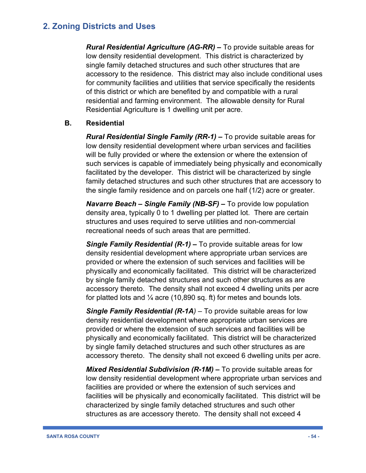*Rural Residential Agriculture (AG-RR) –* To provide suitable areas for low density residential development. This district is characterized by single family detached structures and such other structures that are accessory to the residence. This district may also include conditional uses for community facilities and utilities that service specifically the residents of this district or which are benefited by and compatible with a rural residential and farming environment. The allowable density for Rural Residential Agriculture is 1 dwelling unit per acre.

### **B. Residential**

*Rural Residential Single Family (RR-1) –* To provide suitable areas for low density residential development where urban services and facilities will be fully provided or where the extension or where the extension of such services is capable of immediately being physically and economically facilitated by the developer. This district will be characterized by single family detached structures and such other structures that are accessory to the single family residence and on parcels one half (1/2) acre or greater.

*Navarre Beach – Single Family (NB-SF) –* To provide low population density area, typically 0 to 1 dwelling per platted lot. There are certain structures and uses required to serve utilities and non-commercial recreational needs of such areas that are permitted.

*Single Family Residential (R-1) –* To provide suitable areas for low density residential development where appropriate urban services are provided or where the extension of such services and facilities will be physically and economically facilitated. This district will be characterized by single family detached structures and such other structures as are accessory thereto. The density shall not exceed 4 dwelling units per acre for platted lots and  $\frac{1}{4}$  acre (10,890 sq. ft) for metes and bounds lots.

*Single Family Residential (R-1A) –* To provide suitable areas for low density residential development where appropriate urban services are provided or where the extension of such services and facilities will be physically and economically facilitated. This district will be characterized by single family detached structures and such other structures as are accessory thereto. The density shall not exceed 6 dwelling units per acre.

*Mixed Residential Subdivision (R-1M) –* To provide suitable areas for low density residential development where appropriate urban services and facilities are provided or where the extension of such services and facilities will be physically and economically facilitated. This district will be characterized by single family detached structures and such other structures as are accessory thereto. The density shall not exceed 4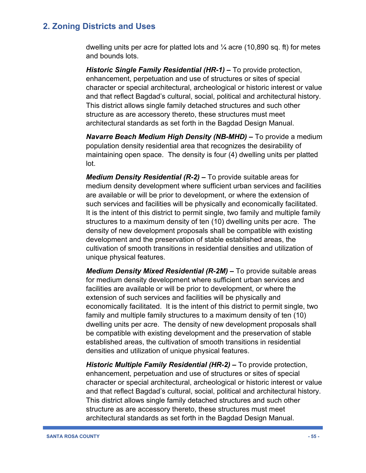dwelling units per acre for platted lots and  $\frac{1}{4}$  acre (10,890 sq. ft) for metes and bounds lots.

*Historic Single Family Residential (HR-1) –* To provide protection, enhancement, perpetuation and use of structures or sites of special character or special architectural, archeological or historic interest or value and that reflect Bagdad's cultural, social, political and architectural history. This district allows single family detached structures and such other structure as are accessory thereto, these structures must meet architectural standards as set forth in the Bagdad Design Manual.

*Navarre Beach Medium High Density (NB-MHD) –* To provide a medium population density residential area that recognizes the desirability of maintaining open space. The density is four (4) dwelling units per platted lot.

*Medium Density Residential (R-2) –* To provide suitable areas for medium density development where sufficient urban services and facilities are available or will be prior to development, or where the extension of such services and facilities will be physically and economically facilitated. It is the intent of this district to permit single, two family and multiple family structures to a maximum density of ten (10) dwelling units per acre. The density of new development proposals shall be compatible with existing development and the preservation of stable established areas, the cultivation of smooth transitions in residential densities and utilization of unique physical features.

*Medium Density Mixed Residential (R-2M) –* To provide suitable areas for medium density development where sufficient urban services and facilities are available or will be prior to development, or where the extension of such services and facilities will be physically and economically facilitated. It is the intent of this district to permit single, two family and multiple family structures to a maximum density of ten (10) dwelling units per acre. The density of new development proposals shall be compatible with existing development and the preservation of stable established areas, the cultivation of smooth transitions in residential densities and utilization of unique physical features.

*Historic Multiple Family Residential (HR-2) –* To provide protection, enhancement, perpetuation and use of structures or sites of special character or special architectural, archeological or historic interest or value and that reflect Bagdad's cultural, social, political and architectural history. This district allows single family detached structures and such other structure as are accessory thereto, these structures must meet architectural standards as set forth in the Bagdad Design Manual.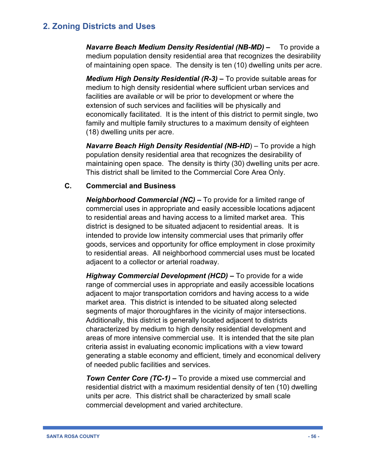*Navarre Beach Medium Density Residential (NB-MD) –* To provide a medium population density residential area that recognizes the desirability of maintaining open space. The density is ten (10) dwelling units per acre.

*Medium High Density Residential (R-3) –* To provide suitable areas for medium to high density residential where sufficient urban services and facilities are available or will be prior to development or where the extension of such services and facilities will be physically and economically facilitated. It is the intent of this district to permit single, two family and multiple family structures to a maximum density of eighteen (18) dwelling units per acre.

*Navarre Beach High Density Residential (NB-HD*) – To provide a high population density residential area that recognizes the desirability of maintaining open space. The density is thirty (30) dwelling units per acre. This district shall be limited to the Commercial Core Area Only.

### **C. Commercial and Business**

*Neighborhood Commercial (NC) –* To provide for a limited range of commercial uses in appropriate and easily accessible locations adjacent to residential areas and having access to a limited market area. This district is designed to be situated adjacent to residential areas. It is intended to provide low intensity commercial uses that primarily offer goods, services and opportunity for office employment in close proximity to residential areas. All neighborhood commercial uses must be located adjacent to a collector or arterial roadway.

*Highway Commercial Development (HCD) –* To provide for a wide range of commercial uses in appropriate and easily accessible locations adjacent to major transportation corridors and having access to a wide market area. This district is intended to be situated along selected segments of major thoroughfares in the vicinity of major intersections. Additionally, this district is generally located adjacent to districts characterized by medium to high density residential development and areas of more intensive commercial use. It is intended that the site plan criteria assist in evaluating economic implications with a view toward generating a stable economy and efficient, timely and economical delivery of needed public facilities and services.

*Town Center Core (TC-1) –* To provide a mixed use commercial and residential district with a maximum residential density of ten (10) dwelling units per acre. This district shall be characterized by small scale commercial development and varied architecture.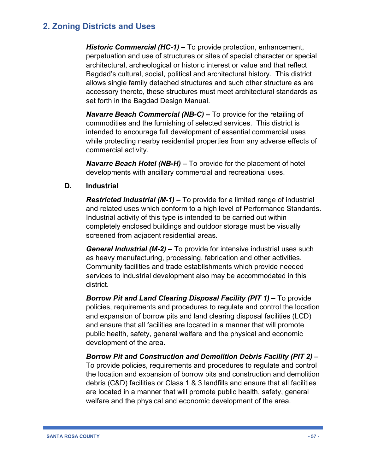*Historic Commercial (HC-1) –* To provide protection, enhancement, perpetuation and use of structures or sites of special character or special architectural, archeological or historic interest or value and that reflect Bagdad's cultural, social, political and architectural history. This district allows single family detached structures and such other structure as are accessory thereto, these structures must meet architectural standards as set forth in the Bagdad Design Manual.

*Navarre Beach Commercial (NB-C) –* To provide for the retailing of commodities and the furnishing of selected services. This district is intended to encourage full development of essential commercial uses while protecting nearby residential properties from any adverse effects of commercial activity.

*Navarre Beach Hotel (NB-H) –* To provide for the placement of hotel developments with ancillary commercial and recreational uses.

### **D. Industrial**

*Restricted Industrial (M-1) –* To provide for a limited range of industrial and related uses which conform to a high level of Performance Standards. Industrial activity of this type is intended to be carried out within completely enclosed buildings and outdoor storage must be visually screened from adjacent residential areas.

*General Industrial (M-2) –* To provide for intensive industrial uses such as heavy manufacturing, processing, fabrication and other activities. Community facilities and trade establishments which provide needed services to industrial development also may be accommodated in this district.

*Borrow Pit and Land Clearing Disposal Facility (PIT 1) –* To provide policies, requirements and procedures to regulate and control the location and expansion of borrow pits and land clearing disposal facilities (LCD) and ensure that all facilities are located in a manner that will promote public health, safety, general welfare and the physical and economic development of the area.

*Borrow Pit and Construction and Demolition Debris Facility (PIT 2) –* To provide policies, requirements and procedures to regulate and control the location and expansion of borrow pits and construction and demolition debris (C&D) facilities or Class 1 & 3 landfills and ensure that all facilities are located in a manner that will promote public health, safety, general welfare and the physical and economic development of the area.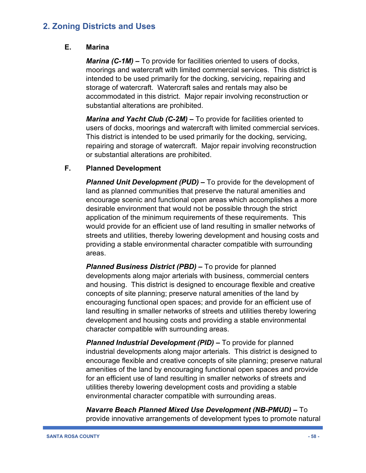#### **E. Marina**

*Marina (C-1M) –* To provide for facilities oriented to users of docks, moorings and watercraft with limited commercial services. This district is intended to be used primarily for the docking, servicing, repairing and storage of watercraft. Watercraft sales and rentals may also be accommodated in this district. Major repair involving reconstruction or substantial alterations are prohibited.

*Marina and Yacht Club (C-2M) –* To provide for facilities oriented to users of docks, moorings and watercraft with limited commercial services. This district is intended to be used primarily for the docking, servicing, repairing and storage of watercraft. Major repair involving reconstruction or substantial alterations are prohibited.

### **F. Planned Development**

*Planned Unit Development (PUD) –* To provide for the development of land as planned communities that preserve the natural amenities and encourage scenic and functional open areas which accomplishes a more desirable environment that would not be possible through the strict application of the minimum requirements of these requirements. This would provide for an efficient use of land resulting in smaller networks of streets and utilities, thereby lowering development and housing costs and providing a stable environmental character compatible with surrounding areas.

*Planned Business District (PBD) –* To provide for planned developments along major arterials with business, commercial centers and housing. This district is designed to encourage flexible and creative concepts of site planning; preserve natural amenities of the land by encouraging functional open spaces; and provide for an efficient use of land resulting in smaller networks of streets and utilities thereby lowering development and housing costs and providing a stable environmental character compatible with surrounding areas.

*Planned Industrial Development (PID) –* To provide for planned industrial developments along major arterials. This district is designed to encourage flexible and creative concepts of site planning; preserve natural amenities of the land by encouraging functional open spaces and provide for an efficient use of land resulting in smaller networks of streets and utilities thereby lowering development costs and providing a stable environmental character compatible with surrounding areas.

*Navarre Beach Planned Mixed Use Development (NB-PMUD) –* To provide innovative arrangements of development types to promote natural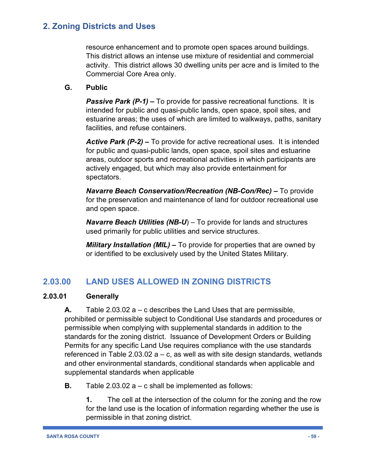resource enhancement and to promote open spaces around buildings. This district allows an intense use mixture of residential and commercial activity. This district allows 30 dwelling units per acre and is limited to the Commercial Core Area only.

## **G. Public**

*Passive Park (P-1)* – To provide for passive recreational functions. It is intended for public and quasi-public lands, open space, spoil sites, and estuarine areas; the uses of which are limited to walkways, paths, sanitary facilities, and refuse containers.

*Active Park (P-2) –* To provide for active recreational uses. It is intended for public and quasi-public lands, open space, spoil sites and estuarine areas, outdoor sports and recreational activities in which participants are actively engaged, but which may also provide entertainment for spectators.

*Navarre Beach Conservation/Recreation (NB-Con/Rec) –* To provide for the preservation and maintenance of land for outdoor recreational use and open space.

*Navarre Beach Utilities (NB-U*) – To provide for lands and structures used primarily for public utilities and service structures.

*Military Installation (MIL) –* To provide for properties that are owned by or identified to be exclusively used by the United States Military.

# **2.03.00 LAND USES ALLOWED IN ZONING DISTRICTS**

## **2.03.01 Generally**

**A.** Table 2.03.02 a – c describes the Land Uses that are permissible, prohibited or permissible subject to Conditional Use standards and procedures or permissible when complying with supplemental standards in addition to the standards for the zoning district. Issuance of Development Orders or Building Permits for any specific Land Use requires compliance with the use standards referenced in Table 2.03.02  $a - c$ , as well as with site design standards, wetlands and other environmental standards, conditional standards when applicable and supplemental standards when applicable

**B.** Table 2.03.02 a – c shall be implemented as follows:

**1.** The cell at the intersection of the column for the zoning and the row for the land use is the location of information regarding whether the use is permissible in that zoning district.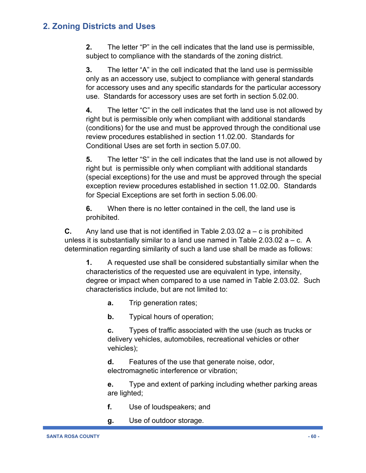**2.** The letter "P" in the cell indicates that the land use is permissible, subject to compliance with the standards of the zoning district.

**3.** The letter "A" in the cell indicated that the land use is permissible only as an accessory use, subject to compliance with general standards for accessory uses and any specific standards for the particular accessory use. Standards for accessory uses are set forth in section 5.02.00.

**4.** The letter "C" in the cell indicates that the land use is not allowed by right but is permissible only when compliant with additional standards (conditions) for the use and must be approved through the conditional use review procedures established in section 11.02.00. Standards for Conditional Uses are set forth in section 5.07.00.

**5.** The letter "S" in the cell indicates that the land use is not allowed by right but is permissible only when compliant with additional standards (special exceptions) for the use and must be approved through the special exception review procedures established in section 11.02.00. Standards for Special Exceptions are set forth in section 5.06.00.

**6.** When there is no letter contained in the cell, the land use is prohibited.

**C.** Any land use that is not identified in Table 2.03.02  $a - c$  is prohibited unless it is substantially similar to a land use named in Table 2.03.02  $a - c$ . A determination regarding similarity of such a land use shall be made as follows:

**1.** A requested use shall be considered substantially similar when the characteristics of the requested use are equivalent in type, intensity, degree or impact when compared to a use named in Table 2.03.02. Such characteristics include, but are not limited to:

**a.** Trip generation rates;

**b.** Typical hours of operation;

**c.** Types of traffic associated with the use (such as trucks or delivery vehicles, automobiles, recreational vehicles or other vehicles);

**d.** Features of the use that generate noise, odor, electromagnetic interference or vibration;

**e.** Type and extent of parking including whether parking areas are lighted;

- **f.** Use of loudspeakers; and
- **g.** Use of outdoor storage.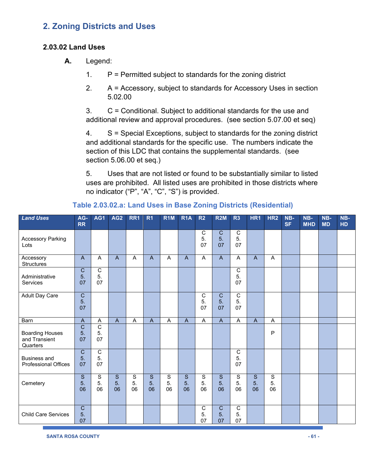#### **2.03.02 Land Uses**

- **A.** Legend:
	- 1.  $P =$  Permitted subject to standards for the zoning district
	- 2. A = Accessory, subject to standards for Accessory Uses in section 5.02.00

3. C = Conditional. Subject to additional standards for the use and additional review and approval procedures. (see section 5.07.00 et seq)

4. S = Special Exceptions, subject to standards for the zoning district and additional standards for the specific use. The numbers indicate the section of this LDC that contains the supplemental standards. (see section 5.06.00 et seq.)

5. Uses that are not listed or found to be substantially similar to listed uses are prohibited. All listed uses are prohibited in those districts where no indicator ("P", "A", "C", "S") is provided.

| <b>Land Uses</b>                                    | AG-<br><b>RR</b>           | AG1                        | AG <sub>2</sub> | RR1                     | R <sub>1</sub> | R <sub>1</sub> M | R <sub>1</sub> A | R <sub>2</sub>             | <b>R2M</b>                 | R <sub>3</sub>             | HR1            | HR <sub>2</sub>         | NB-<br><b>SF</b> | NB-<br><b>MHD</b> | NB-<br><b>MD</b> | NB-<br>HD |
|-----------------------------------------------------|----------------------------|----------------------------|-----------------|-------------------------|----------------|------------------|------------------|----------------------------|----------------------------|----------------------------|----------------|-------------------------|------------------|-------------------|------------------|-----------|
| <b>Accessory Parking</b><br>Lots                    |                            |                            |                 |                         |                |                  |                  | C<br>5.<br>07              | $\mathbf C$<br>5.<br>07    | $\mathsf{C}$<br>5.<br>07   |                |                         |                  |                   |                  |           |
| Accessory<br><b>Structures</b>                      | $\mathsf{A}$               | A                          | $\mathsf{A}$    | A                       | $\overline{A}$ | A                | $\mathsf{A}$     | Α                          | $\mathsf{A}$               | A                          | $\mathsf{A}$   | A                       |                  |                   |                  |           |
| Administrative<br>Services                          | $\overline{C}$<br>5.<br>07 | $\overline{C}$<br>5.<br>07 |                 |                         |                |                  |                  |                            |                            | $\overline{C}$<br>5.<br>07 |                |                         |                  |                   |                  |           |
| <b>Adult Day Care</b>                               | $\overline{C}$<br>5.<br>07 |                            |                 |                         |                |                  |                  | $\overline{C}$<br>5.<br>07 | $\overline{C}$<br>5.<br>07 | $\overline{C}$<br>5.<br>07 |                |                         |                  |                   |                  |           |
| Barn                                                | $\overline{A}$             | $\boldsymbol{\mathsf{A}}$  | $\overline{A}$  | A                       | $\overline{A}$ | A                | $\overline{A}$   | A                          | $\overline{A}$             | $\overline{A}$             | $\overline{A}$ | A                       |                  |                   |                  |           |
| <b>Boarding Houses</b><br>and Transient<br>Quarters | $\overline{C}$<br>5.<br>07 | $\overline{c}$<br>5.<br>07 |                 |                         |                |                  |                  |                            |                            |                            |                | P                       |                  |                   |                  |           |
| <b>Business and</b><br><b>Professional Offices</b>  | $\overline{C}$<br>5.<br>07 | $\overline{C}$<br>5.<br>07 |                 |                         |                |                  |                  |                            |                            | $\mathsf C$<br>5.<br>07    |                |                         |                  |                   |                  |           |
| Cemetery                                            | S<br>5.<br>06              | $\mathbb S$<br>5.<br>06    | S<br>5.<br>06   | $\mathbf S$<br>5.<br>06 | S<br>5.<br>06  | S<br>5.<br>06    | S<br>5.<br>06    | S<br>5.<br>06              | S<br>5.<br>06              | $\mathbf S$<br>5.<br>06    | S<br>5.<br>06  | $\mathbf S$<br>5.<br>06 |                  |                   |                  |           |
| <b>Child Care Services</b>                          | $\overline{C}$<br>5.<br>07 |                            |                 |                         |                |                  |                  | $\mathsf{C}$<br>5.<br>07   | $\mathbf C$<br>5.<br>07    | $\overline{C}$<br>5.<br>07 |                |                         |                  |                   |                  |           |

**Table 2.03.02.a: Land Uses in Base Zoning Districts (Residential)**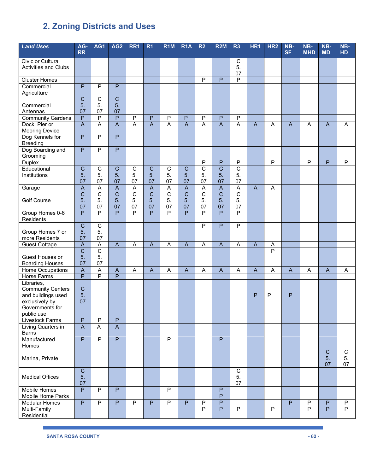| <b>Land Uses</b>                               | AG-                                    | AG1                     | AG <sub>2</sub>                  | RR1                                    | R <sub>1</sub>                            | R <sub>1</sub> M                 | R <sub>1</sub> A                        | R <sub>2</sub>                | <b>R2M</b>                                  | R3                                          | HR1            | HR <sub>2</sub>     | NB-            | NB-                     | NB-            | NB-         |
|------------------------------------------------|----------------------------------------|-------------------------|----------------------------------|----------------------------------------|-------------------------------------------|----------------------------------|-----------------------------------------|-------------------------------|---------------------------------------------|---------------------------------------------|----------------|---------------------|----------------|-------------------------|----------------|-------------|
|                                                | <b>RR</b>                              |                         |                                  |                                        |                                           |                                  |                                         |                               |                                             |                                             |                |                     | <b>SF</b>      | <b>MHD</b>              | <b>MD</b>      | HD          |
| <b>Civic or Cultural</b>                       |                                        |                         |                                  |                                        |                                           |                                  |                                         |                               |                                             | $\overline{C}$                              |                |                     |                |                         |                |             |
| <b>Activities and Clubs</b>                    |                                        |                         |                                  |                                        |                                           |                                  |                                         |                               |                                             | 5.                                          |                |                     |                |                         |                |             |
|                                                |                                        |                         |                                  |                                        |                                           |                                  |                                         |                               |                                             | 07                                          |                |                     |                |                         |                |             |
| <b>Cluster Homes</b><br>Commercial             | $\overline{P}$                         | $\overline{P}$          | $\overline{P}$                   |                                        |                                           |                                  |                                         | $\overline{P}$                | P                                           | $\overline{\mathsf{P}}$                     |                |                     |                |                         |                |             |
| Agriculture                                    |                                        |                         |                                  |                                        |                                           |                                  |                                         |                               |                                             |                                             |                |                     |                |                         |                |             |
|                                                | $\overline{C}$                         | $\overline{C}$          | $\overline{C}$                   |                                        |                                           |                                  |                                         |                               |                                             |                                             |                |                     |                |                         |                |             |
| Commercial                                     | 5.                                     | 5.                      | 5.                               |                                        |                                           |                                  |                                         |                               |                                             |                                             |                |                     |                |                         |                |             |
| Antennas                                       | 07                                     | 07                      | 07                               |                                        |                                           |                                  |                                         |                               |                                             |                                             |                |                     |                |                         |                |             |
| <b>Community Gardens</b>                       | $\overline{P}$                         | $\overline{\mathsf{P}}$ | $\overline{P}$                   | $\overline{P}$                         | $\overline{P}$                            | $\overline{P}$                   | $\overline{P}$                          | $\overline{P}$                | $\mathsf{P}$                                | $\overline{P}$                              |                |                     |                |                         |                |             |
| Dock, Pier or                                  | $\overline{A}$                         | A                       | $\overline{A}$                   | $\overline{A}$                         | $\overline{A}$                            | $\overline{A}$                   | $\overline{A}$                          | A                             | $\overline{A}$                              | $\overline{A}$                              | $\mathsf{A}$   | A                   | $\mathsf{A}$   | A                       | $\overline{A}$ | A           |
| <b>Mooring Device</b>                          |                                        |                         |                                  |                                        |                                           |                                  |                                         |                               |                                             |                                             |                |                     |                |                         |                |             |
| Dog Kennels for<br><b>Breeding</b>             | $\overline{P}$                         | P                       | $\overline{P}$                   |                                        |                                           |                                  |                                         |                               |                                             |                                             |                |                     |                |                         |                |             |
| Dog Boarding and                               | $\overline{P}$                         | P                       | $\overline{P}$                   |                                        |                                           |                                  |                                         |                               |                                             |                                             |                |                     |                |                         |                |             |
| Grooming                                       |                                        |                         |                                  |                                        |                                           |                                  |                                         |                               |                                             |                                             |                |                     |                |                         |                |             |
| <b>Duplex</b>                                  |                                        |                         |                                  |                                        |                                           |                                  |                                         | P                             | P                                           | $\overline{P}$                              |                | $\overline{P}$      |                | $\overline{\mathsf{P}}$ | P              | P           |
| Educational                                    | $\mathsf C$                            | С                       | $\overline{C}$                   | $\mathsf C$                            | $\mathbf C$                               | $\mathbf C$                      | $\overline{C}$                          | $\overline{C}$                | $\overline{C}$                              | $\overline{C}$                              |                |                     |                |                         |                |             |
| Institutions                                   | 5.                                     | 5.                      | 5.                               | 5.                                     | 5.                                        | 5.                               | 5.                                      | 5.                            | 5.                                          | 5.                                          |                |                     |                |                         |                |             |
|                                                | 07                                     | 07                      | 07                               | 07                                     | 07                                        | 07                               | 07                                      | 07                            | 07                                          | 07                                          |                |                     |                |                         |                |             |
| Garage                                         | $\boldsymbol{\mathsf{A}}$              | A<br>$\overline{C}$     | $\overline{A}$<br>$\overline{C}$ | $\mathsf A$<br>$\overline{\mathsf{C}}$ | $\overline{A}$<br>$\overline{\mathsf{C}}$ | $\overline{A}$<br>$\overline{C}$ | $\overline{A}$<br>$\overline{\text{c}}$ | $\mathsf A$<br>$\overline{C}$ | $\boldsymbol{\mathsf{A}}$<br>$\overline{C}$ | $\boldsymbol{\mathsf{A}}$<br>$\overline{C}$ | $\overline{A}$ | A                   |                |                         |                |             |
| <b>Golf Course</b>                             | $\overline{C}$<br>5.                   | 5.                      | 5.                               | 5.                                     | 5.                                        | 5.                               | 5.                                      | 5.                            | 5.                                          | 5.                                          |                |                     |                |                         |                |             |
|                                                | 07                                     | 07                      | 07                               | 07                                     | 07                                        | 07                               | 07                                      | 07                            | 07                                          | 07                                          |                |                     |                |                         |                |             |
| Group Homes 0-6                                | $\overline{P}$                         | $\overline{P}$          | $\overline{P}$                   | $\overline{P}$                         | $\overline{P}$                            | $\overline{P}$                   | $\overline{P}$                          | $\overline{P}$                | $\overline{P}$                              | $\overline{P}$                              |                |                     |                |                         |                |             |
| Residents                                      |                                        |                         |                                  |                                        |                                           |                                  |                                         |                               |                                             |                                             |                |                     |                |                         |                |             |
|                                                | $\overline{C}$                         | $\overline{C}$          |                                  |                                        |                                           |                                  |                                         | P                             | P                                           | $\overline{P}$                              |                |                     |                |                         |                |             |
| Group Homes 7 or                               | 5.                                     | 5.                      |                                  |                                        |                                           |                                  |                                         |                               |                                             |                                             |                |                     |                |                         |                |             |
| more Residents                                 | 07                                     | 07                      |                                  |                                        |                                           |                                  |                                         |                               |                                             |                                             |                |                     |                |                         |                |             |
| <b>Guest Cottage</b>                           | $\mathsf A$<br>$\overline{\mathsf{C}}$ | A<br>$\overline{C}$     | $\overline{A}$                   | Α                                      | $\boldsymbol{\mathsf{A}}$                 | A                                | $\boldsymbol{\mathsf{A}}$               | A                             | $\boldsymbol{\mathsf{A}}$                   | A                                           | $\mathsf{A}$   | Α<br>$\overline{P}$ |                |                         |                |             |
| Guest Houses or                                | 5.                                     | 5.                      |                                  |                                        |                                           |                                  |                                         |                               |                                             |                                             |                |                     |                |                         |                |             |
| <b>Boarding Houses</b>                         | 07                                     | 07                      |                                  |                                        |                                           |                                  |                                         |                               |                                             |                                             |                |                     |                |                         |                |             |
| Home Occupations                               | $\mathsf A$                            | A                       | $\mathsf{A}$                     | Α                                      | $\mathsf{A}$                              | A                                | $\mathsf{A}$                            | A                             | $\boldsymbol{\mathsf{A}}$                   | A                                           | $\mathsf{A}$   | A                   | $\mathsf{A}$   | A                       | $\mathsf{A}$   | A           |
| <b>Horse Farms</b>                             | $\overline{P}$                         | $\overline{P}$          | $\overline{P}$                   |                                        |                                           |                                  |                                         |                               |                                             |                                             |                |                     |                |                         |                |             |
| Libraries,                                     |                                        |                         |                                  |                                        |                                           |                                  |                                         |                               |                                             |                                             |                |                     |                |                         |                |             |
| <b>Community Centers</b><br>and buildings used | $\mathbf C$<br>5.                      |                         |                                  |                                        |                                           |                                  |                                         |                               |                                             |                                             | P              | $\mathsf P$         | P              |                         |                |             |
| exclusively by                                 | 07                                     |                         |                                  |                                        |                                           |                                  |                                         |                               |                                             |                                             |                |                     |                |                         |                |             |
| Governments for                                |                                        |                         |                                  |                                        |                                           |                                  |                                         |                               |                                             |                                             |                |                     |                |                         |                |             |
| public use                                     |                                        |                         |                                  |                                        |                                           |                                  |                                         |                               |                                             |                                             |                |                     |                |                         |                |             |
| Livestock Farms                                | $\mathsf P$                            | P                       | P                                |                                        |                                           |                                  |                                         |                               |                                             |                                             |                |                     |                |                         |                |             |
| Living Quarters in                             | $\overline{A}$                         | $\mathsf{A}$            | $\mathsf{A}$                     |                                        |                                           |                                  |                                         |                               |                                             |                                             |                |                     |                |                         |                |             |
| <b>Barns</b><br>Manufactured                   | $\overline{P}$                         | $\overline{P}$          | $\overline{P}$                   |                                        |                                           | P                                |                                         |                               | $\overline{P}$                              |                                             |                |                     |                |                         |                |             |
| Homes                                          |                                        |                         |                                  |                                        |                                           |                                  |                                         |                               |                                             |                                             |                |                     |                |                         |                |             |
|                                                |                                        |                         |                                  |                                        |                                           |                                  |                                         |                               |                                             |                                             |                |                     |                |                         | $\mathbf C$    | $\mathbf C$ |
| Marina, Private                                |                                        |                         |                                  |                                        |                                           |                                  |                                         |                               |                                             |                                             |                |                     |                |                         | 5.             | 5.          |
|                                                |                                        |                         |                                  |                                        |                                           |                                  |                                         |                               |                                             |                                             |                |                     |                |                         | 07             | 07          |
|                                                | $\overline{C}$                         |                         |                                  |                                        |                                           |                                  |                                         |                               |                                             | ${\rm C}$                                   |                |                     |                |                         |                |             |
| <b>Medical Offices</b>                         | 5.                                     |                         |                                  |                                        |                                           |                                  |                                         |                               |                                             | 5.                                          |                |                     |                |                         |                |             |
| Mobile Homes                                   | 07<br>$\overline{P}$                   | $\overline{P}$          | $\overline{P}$                   |                                        |                                           | P                                |                                         |                               | P                                           | 07                                          |                |                     |                |                         |                |             |
| Mobile Home Parks                              |                                        |                         |                                  |                                        |                                           |                                  |                                         |                               | $\overline{P}$                              |                                             |                |                     |                |                         |                |             |
| <b>Modular Homes</b>                           | $\overline{P}$                         | $\overline{P}$          | $\overline{P}$                   | P                                      | P                                         | P                                | P                                       | P                             | P                                           |                                             |                |                     | $\overline{P}$ | ${\sf P}$               | P              | P           |
| Multi-Family                                   |                                        |                         |                                  |                                        |                                           |                                  |                                         | P                             | $\overline{P}$                              | P                                           |                | $\mathsf P$         |                | P                       | $\overline{P}$ | P           |
| Residential                                    |                                        |                         |                                  |                                        |                                           |                                  |                                         |                               |                                             |                                             |                |                     |                |                         |                |             |

ı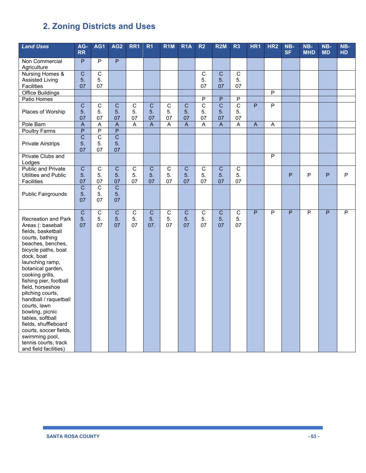| <b>Land Uses</b>                                                                                                                                                                                                                                                                                                                                                                                                                                                                     | AG-<br><b>RR</b>                    | AG1                               | AG <sub>2</sub>                        | RR1                        | R <sub>1</sub>                         | R <sub>1</sub> M           | R <sub>1</sub> A                              | R <sub>2</sub>             | R2M                                    | R3                         | HR <sub>1</sub> | HR <sub>2</sub> | NB-<br><b>SF</b> | $NB-$<br><b>MHD</b>     | NB-<br><b>MD</b> | NB-<br><b>HD</b> |
|--------------------------------------------------------------------------------------------------------------------------------------------------------------------------------------------------------------------------------------------------------------------------------------------------------------------------------------------------------------------------------------------------------------------------------------------------------------------------------------|-------------------------------------|-----------------------------------|----------------------------------------|----------------------------|----------------------------------------|----------------------------|-----------------------------------------------|----------------------------|----------------------------------------|----------------------------|-----------------|-----------------|------------------|-------------------------|------------------|------------------|
| Non Commercial<br>Agriculture                                                                                                                                                                                                                                                                                                                                                                                                                                                        | $\overline{P}$                      | $\overline{P}$                    | $\overline{P}$                         |                            |                                        |                            |                                               |                            |                                        |                            |                 |                 |                  |                         |                  |                  |
| <b>Nursing Homes &amp;</b><br><b>Assisted Living</b><br>Facilities                                                                                                                                                                                                                                                                                                                                                                                                                   | $\overline{C}$<br>5.<br>07          | $\overline{C}$<br>5.<br>07        |                                        |                            |                                        |                            |                                               | $\overline{c}$<br>5.<br>07 | $\overline{C}$<br>5 <sub>1</sub><br>07 | $\overline{c}$<br>5.<br>07 |                 |                 |                  |                         |                  |                  |
| <b>Office Buildings</b>                                                                                                                                                                                                                                                                                                                                                                                                                                                              |                                     |                                   |                                        |                            |                                        |                            |                                               |                            |                                        |                            |                 | $\overline{P}$  |                  |                         |                  |                  |
| Patio Homes                                                                                                                                                                                                                                                                                                                                                                                                                                                                          |                                     |                                   |                                        |                            |                                        |                            |                                               | $\overline{\mathsf{P}}$    | $\overline{P}$                         | $\overline{P}$             |                 |                 |                  |                         |                  |                  |
| Places of Worship                                                                                                                                                                                                                                                                                                                                                                                                                                                                    | $\overline{\mathsf{C}}$<br>5.<br>07 | $\overline{C}$<br>5.<br>07        | $\overline{C}$<br>5.<br>07             | $\overline{C}$<br>5.<br>07 | $\overline{\mathsf{C}}$<br>5.<br>07    | $\overline{c}$<br>5.<br>07 | $\overline{\mathsf{C}}$<br>5.<br>07           | $\overline{C}$<br>5.<br>07 | $\overline{\mathsf{C}}$<br>5.<br>07    | $\overline{C}$<br>5.<br>07 | $\overline{P}$  | $\overline{P}$  |                  |                         |                  |                  |
| Pole Barn                                                                                                                                                                                                                                                                                                                                                                                                                                                                            | $\overline{A}$                      | A                                 | $\overline{A}$                         | $\overline{A}$             | $\overline{A}$                         | $\overline{A}$             | A                                             | A                          | $\overline{A}$                         | $\overline{A}$             | $\overline{A}$  | $\overline{A}$  |                  |                         |                  |                  |
| <b>Poultry Farms</b>                                                                                                                                                                                                                                                                                                                                                                                                                                                                 | $\overline{P}$                      | $\overline{P}$                    | $\overline{P}$                         |                            |                                        |                            |                                               |                            |                                        |                            |                 |                 |                  |                         |                  |                  |
| <b>Private Airstrips</b>                                                                                                                                                                                                                                                                                                                                                                                                                                                             | $\overline{\mathsf{C}}$<br>5.<br>07 | $\overline{\text{C}}$<br>5.<br>07 | $\overline{C}$<br>5.<br>07             |                            |                                        |                            |                                               |                            |                                        |                            |                 |                 |                  |                         |                  |                  |
| Private Clubs and<br>Lodges                                                                                                                                                                                                                                                                                                                                                                                                                                                          |                                     |                                   |                                        |                            |                                        |                            |                                               |                            |                                        |                            |                 | $\overline{P}$  |                  |                         |                  |                  |
| Public and Private<br><b>Utilities and Public</b><br><b>Facilities</b>                                                                                                                                                                                                                                                                                                                                                                                                               | $\overline{C}$<br>5.<br>07          | $\overline{C}$<br>5.<br>07        | $\overline{C}$<br>5 <sub>1</sub><br>07 | $\overline{C}$<br>5.<br>07 | $\overline{C}$<br>5 <sub>1</sub><br>07 | $\overline{c}$<br>5.<br>07 | $\overline{\text{c}}$<br>5 <sub>1</sub><br>07 | $\overline{C}$<br>5.<br>07 | $\overline{C}$<br>5.<br>07             | $\overline{c}$<br>5.<br>07 |                 |                 | P                | P                       | P                | P                |
| <b>Public Fairgrounds</b>                                                                                                                                                                                                                                                                                                                                                                                                                                                            | $\overline{\mathsf{C}}$<br>5.<br>07 | $\overline{C}$<br>5.<br>07        | $\overline{C}$<br>5 <sub>1</sub><br>07 |                            |                                        |                            |                                               |                            |                                        |                            |                 |                 |                  |                         |                  |                  |
| <b>Recreation and Park</b><br>Areas (: baseball<br>fields, basketball<br>courts, bathing<br>beaches, benches,<br>bicycle paths, boat<br>dock, boat<br>launching ramp,<br>botanical garden,<br>cooking grills,<br>fishing pier, football<br>field, horseshoe<br>pitching courts,<br>handball / raquetball<br>courts, lawn<br>bowling, picnic<br>tables, softball<br>fields, shuffleboard<br>courts, soccer fields,<br>swimming pool,<br>tennis courts, track<br>and field facilities) | $\overline{\mathsf{C}}$<br>5.<br>07 | $\overline{C}$<br>5.<br>07        | $\overline{C}$<br>5.<br>07             | $\overline{C}$<br>5.<br>07 | $\overline{\mathsf{C}}$<br>5.<br>07.   | $\overline{c}$<br>5.<br>07 | $\overline{\text{c}}$<br>5 <sub>1</sub><br>07 | $\overline{C}$<br>5.<br>07 | $\overline{C}$<br>5 <sub>1</sub><br>07 | $\overline{C}$<br>5.<br>07 | $\overline{P}$  | $\overline{P}$  | $\overline{P}$   | $\overline{\mathsf{P}}$ | $\overline{P}$   | $\overline{P}$   |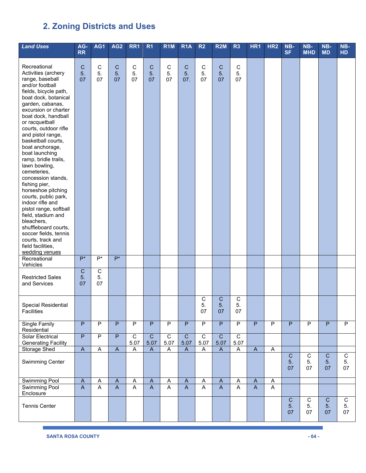| <b>Land Uses</b>                                                                                                                                                                                                                                                                                                                                                                                                                                                                                                                                                                                                                                                     | AG-<br><b>RR</b>                          | AG1                        | AG <sub>2</sub>              | RR <sub>1</sub>         | R <sub>1</sub>            | R <sub>1</sub> M         | R <sub>1</sub> A             | R <sub>2</sub>            | <b>R2M</b>                   | R <sub>3</sub>             | HR <sub>1</sub>           | HR <sub>2</sub> | NB-<br><b>SF</b>        | NB-<br><b>MHD</b>       | NB-<br><b>MD</b>        | NB-<br><b>HD</b>           |
|----------------------------------------------------------------------------------------------------------------------------------------------------------------------------------------------------------------------------------------------------------------------------------------------------------------------------------------------------------------------------------------------------------------------------------------------------------------------------------------------------------------------------------------------------------------------------------------------------------------------------------------------------------------------|-------------------------------------------|----------------------------|------------------------------|-------------------------|---------------------------|--------------------------|------------------------------|---------------------------|------------------------------|----------------------------|---------------------------|-----------------|-------------------------|-------------------------|-------------------------|----------------------------|
| Recreational<br>Activities (archery<br>range, baseball<br>and/or football<br>fields, bicycle path,<br>boat dock, botanical<br>garden, cabanas,<br>excursion or charter<br>boat dock, handball<br>or racquetball<br>courts, outdoor rifle<br>and pistol range,<br>basketball courts,<br>boat anchorage,<br>boat launching<br>ramp, bridle trails,<br>lawn bowling,<br>cemeteries,<br>concession stands,<br>fishing pier,<br>horseshoe pitching<br>courts, public park,<br>indoor rifle and<br>pistol range, softball<br>field, stadium and<br>bleachers,<br>shuffleboard courts,<br>soccer fields, tennis<br>courts, track and<br>field facilities,<br>wedding venues | $\mathbf C$<br>5.<br>07                   | $\mathsf C$<br>5.<br>07    | $\mathsf{C}$<br>5.<br>07     | $\mathsf C$<br>5.<br>07 | $\mathsf{C}$<br>5.<br>07  | $\mathsf{C}$<br>5.<br>07 | $\mathsf{C}$<br>5.<br>07.    | $\mathsf C$<br>5.<br>07   | $\mathsf C$<br>5.<br>07      | $\mathsf C$<br>5.<br>07    |                           |                 |                         |                         |                         |                            |
| Recreational<br>Vehicles                                                                                                                                                                                                                                                                                                                                                                                                                                                                                                                                                                                                                                             | $P^*$                                     | $P^*$                      | $P^*$                        |                         |                           |                          |                              |                           |                              |                            |                           |                 |                         |                         |                         |                            |
| <b>Restricted Sales</b><br>and Services                                                                                                                                                                                                                                                                                                                                                                                                                                                                                                                                                                                                                              | $\mathsf C$<br>5.<br>07                   | $\overline{C}$<br>5.<br>07 |                              |                         |                           |                          |                              |                           |                              |                            |                           |                 |                         |                         |                         |                            |
| Special Residential<br>Facilities                                                                                                                                                                                                                                                                                                                                                                                                                                                                                                                                                                                                                                    |                                           |                            |                              |                         |                           |                          |                              | $\mathsf C$<br>5.<br>$07$ | $\mathsf C$<br>5.<br>07      | $\overline{C}$<br>5.<br>07 |                           |                 |                         |                         |                         |                            |
| <b>Single Family</b><br>Residential                                                                                                                                                                                                                                                                                                                                                                                                                                                                                                                                                                                                                                  | $\overline{P}$                            | $\overline{P}$             | $\overline{P}$               | $\overline{P}$          | $\overline{P}$            | $\overline{P}$           | $\overline{P}$               | $\overline{P}$            | $\overline{P}$               | $\overline{P}$             | $\overline{P}$            | $\overline{P}$  | $\overline{P}$          | $\overline{P}$          | $\overline{P}$          | $\overline{P}$             |
| <b>Solar Electrical</b><br><b>Generating Facility</b>                                                                                                                                                                                                                                                                                                                                                                                                                                                                                                                                                                                                                | $\overline{P}$                            | $\overline{P}$             | $\overline{P}$               | $\overline{C}$<br>5.07  | $\overline{C}$<br>5.07    | $\overline{C}$<br>5.07   | $\overline{C}$<br>5.07       | $\overline{C}$<br>5.07    | $\overline{C}$<br>5.07       | $\overline{C}$<br>5.07     |                           |                 |                         |                         |                         |                            |
| Storage Shed                                                                                                                                                                                                                                                                                                                                                                                                                                                                                                                                                                                                                                                         | $\overline{A}$                            | $\boldsymbol{\mathsf{A}}$  | $\boldsymbol{\mathsf{A}}$    | A                       | $\boldsymbol{\mathsf{A}}$ | $\mathsf{A}$             | $\mathsf{A}$                 | A                         | $\mathsf{A}$                 | A                          | $\boldsymbol{\mathsf{A}}$ | $\overline{A}$  |                         |                         |                         |                            |
| <b>Swimming Center</b>                                                                                                                                                                                                                                                                                                                                                                                                                                                                                                                                                                                                                                               |                                           |                            |                              |                         |                           |                          |                              |                           |                              |                            |                           |                 | $\mathbf C$<br>5.<br>07 | $\mathbf C$<br>5.<br>07 | $\mathbf C$<br>5.<br>07 | $\overline{C}$<br>5.<br>07 |
| Swimming Pool<br><b>Swimming Pool</b>                                                                                                                                                                                                                                                                                                                                                                                                                                                                                                                                                                                                                                | $\boldsymbol{\mathsf{A}}$<br>$\mathsf{A}$ | A<br>A                     | $\mathsf{A}$<br>$\mathsf{A}$ | Α<br>A                  | $\mathsf{A}$<br>A         | A<br>$\mathsf{A}$        | $\mathsf{A}$<br>$\mathsf{A}$ | A<br>$\mathsf{A}$         | $\mathsf{A}$<br>$\mathsf{A}$ | Α<br>A                     | $\mathsf{A}$<br>A         | A<br>A          |                         |                         |                         |                            |
| Enclosure                                                                                                                                                                                                                                                                                                                                                                                                                                                                                                                                                                                                                                                            |                                           |                            |                              |                         |                           |                          |                              |                           |                              |                            |                           |                 |                         |                         |                         |                            |
| <b>Tennis Center</b>                                                                                                                                                                                                                                                                                                                                                                                                                                                                                                                                                                                                                                                 |                                           |                            |                              |                         |                           |                          |                              |                           |                              |                            |                           |                 | $\mathbf C$<br>5.<br>07 | $\mathbf C$<br>5.<br>07 | $\mathbf C$<br>5.<br>07 | $\overline{C}$<br>5.<br>07 |

ı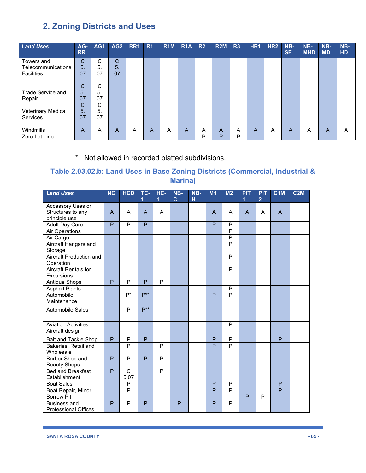| <b>Land Uses</b>   | $AG-$<br><b>RR</b> | AG <sub>1</sub> | AG <sub>2</sub> | RR <sub>1</sub> | R <sub>1</sub> | <b>R1M</b> | <b>R1A</b> | R <sub>2</sub> | R2M | R <sub>3</sub> | HR <sub>1</sub> | HR <sub>2</sub> | NB-<br><b>SF</b> | $NB-$<br><b>MHD</b> | NB-<br><b>MD</b> | NB-<br><b>HD</b> |
|--------------------|--------------------|-----------------|-----------------|-----------------|----------------|------------|------------|----------------|-----|----------------|-----------------|-----------------|------------------|---------------------|------------------|------------------|
|                    |                    |                 |                 |                 |                |            |            |                |     |                |                 |                 |                  |                     |                  |                  |
| Towers and         | С                  | С               | С               |                 |                |            |            |                |     |                |                 |                 |                  |                     |                  |                  |
| Telecommunications | 5.                 | 5.              | 5.              |                 |                |            |            |                |     |                |                 |                 |                  |                     |                  |                  |
| <b>Facilities</b>  | 07                 | 07              | 07              |                 |                |            |            |                |     |                |                 |                 |                  |                     |                  |                  |
|                    |                    |                 |                 |                 |                |            |            |                |     |                |                 |                 |                  |                     |                  |                  |
|                    | С                  | С               |                 |                 |                |            |            |                |     |                |                 |                 |                  |                     |                  |                  |
| Trade Service and  | 5.                 | 5.              |                 |                 |                |            |            |                |     |                |                 |                 |                  |                     |                  |                  |
| Repair             | 07                 | 07              |                 |                 |                |            |            |                |     |                |                 |                 |                  |                     |                  |                  |
|                    | C                  | С               |                 |                 |                |            |            |                |     |                |                 |                 |                  |                     |                  |                  |
| Veterinary Medical | 5.                 | 5.              |                 |                 |                |            |            |                |     |                |                 |                 |                  |                     |                  |                  |
| Services           | 07                 | 07              |                 |                 |                |            |            |                |     |                |                 |                 |                  |                     |                  |                  |
|                    |                    |                 |                 |                 |                |            |            |                |     |                |                 |                 |                  |                     |                  |                  |
| Windmills          | A                  | A               | A               | A               | A              | A          | A          | Α              | A   | A              | A               | A               | A                | Α                   | A                | A                |
| Zero Lot Line      |                    |                 |                 |                 |                |            |            | P              | P   | P              |                 |                 |                  |                     |                  |                  |

\* Not allowed in recorded platted subdivisions.

## **Table 2.03.02.b: Land Uses in Base Zoning Districts (Commercial, Industrial & Marina)**

| <b>Land Uses</b>               | <b>NC</b>      | <b>HCD</b> | TC-<br>1       | $HC -$<br>1 | NB-<br>$\mathbf{C}$ | NB-<br>н | M <sub>1</sub> | M <sub>2</sub>          | <b>PIT</b><br>1 | <b>PIT</b><br>$\overline{2}$ | C1M | <b>C2M</b> |
|--------------------------------|----------------|------------|----------------|-------------|---------------------|----------|----------------|-------------------------|-----------------|------------------------------|-----|------------|
| Accessory Uses or              |                |            |                |             |                     |          |                |                         |                 |                              |     |            |
| Structures to any              | $\mathsf{A}$   | A          | A              | A           |                     |          | $\mathsf{A}$   | A                       | $\mathsf{A}$    | A                            | A   |            |
| principle use                  |                |            |                |             |                     |          |                |                         |                 |                              |     |            |
| Adult Day Care                 | P              | P          | P              |             |                     |          | P              | P                       |                 |                              |     |            |
| Air Operations                 |                |            |                |             |                     |          |                | P                       |                 |                              |     |            |
| Air Cargo                      |                |            |                |             |                     |          |                | $\overline{P}$          |                 |                              |     |            |
| Aircraft Hangars and           |                |            |                |             |                     |          |                | $\overline{\mathsf{P}}$ |                 |                              |     |            |
| Storage                        |                |            |                |             |                     |          |                |                         |                 |                              |     |            |
| <b>Aircraft Production and</b> |                |            |                |             |                     |          |                | P                       |                 |                              |     |            |
| Operation                      |                |            |                |             |                     |          |                |                         |                 |                              |     |            |
| <b>Aircraft Rentals for</b>    |                |            |                |             |                     |          |                | P                       |                 |                              |     |            |
| <b>Excursions</b>              |                |            |                |             |                     |          |                |                         |                 |                              |     |            |
| Antique Shops                  | P              | P          | P              | P           |                     |          |                |                         |                 |                              |     |            |
| <b>Asphalt Plants</b>          |                |            |                |             |                     |          |                | P                       |                 |                              |     |            |
| Automobile                     |                | $P^*$      | $P^{**}$       |             |                     |          | P              | $\overline{P}$          |                 |                              |     |            |
| Maintenance                    |                |            |                |             |                     |          |                |                         |                 |                              |     |            |
| Automobile Sales               |                | P          | $P^{**}$       |             |                     |          |                |                         |                 |                              |     |            |
|                                |                |            |                |             |                     |          |                |                         |                 |                              |     |            |
| <b>Aviation Activities:</b>    |                |            |                |             |                     |          |                | P                       |                 |                              |     |            |
| Aircraft design                |                |            |                |             |                     |          |                |                         |                 |                              |     |            |
| Bait and Tackle Shop           | $\overline{P}$ | P          | $\overline{P}$ |             |                     |          | P              | P                       |                 |                              | P   |            |
| Bakeries, Retail and           |                | P          |                | P           |                     |          | P              | P                       |                 |                              |     |            |
| Wholesale                      |                |            |                |             |                     |          |                |                         |                 |                              |     |            |
| Barber Shop and                | P              | P          | P              | P           |                     |          |                |                         |                 |                              |     |            |
| <b>Beauty Shops</b>            |                |            |                |             |                     |          |                |                         |                 |                              |     |            |
| <b>Bed and Breakfast</b>       | P              | C          |                | P           |                     |          |                |                         |                 |                              |     |            |
| Establishment                  |                | 5.07       |                |             |                     |          |                |                         |                 |                              |     |            |
| <b>Boat Sales</b>              |                | P          |                |             |                     |          | P              | P                       |                 |                              | P   |            |
| Boat Repair, Minor             |                | P          |                |             |                     |          | P              | P                       |                 |                              | P   |            |
| <b>Borrow Pit</b>              |                |            |                |             |                     |          |                |                         | P               | P                            |     |            |
| <b>Business and</b>            | P              | P          | P              |             | P                   |          | P              | $\overline{P}$          |                 |                              |     |            |
| <b>Professional Offices</b>    |                |            |                |             |                     |          |                |                         |                 |                              |     |            |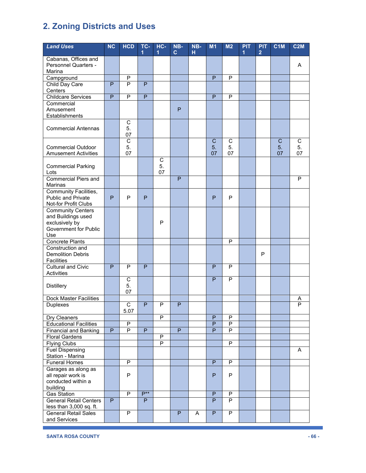| <b>Land Uses</b>                                         | <b>NC</b>      | <b>HCD</b>             | TC-            | $HC -$         | NB-            | NB- | M1             | M <sub>2</sub> | <b>PIT</b> | <b>PIT</b>     | C <sub>1</sub> M | <b>C2M</b>     |
|----------------------------------------------------------|----------------|------------------------|----------------|----------------|----------------|-----|----------------|----------------|------------|----------------|------------------|----------------|
|                                                          |                |                        |                | 1              | $\mathbf{C}$   | н   |                |                | 1          | $\overline{2}$ |                  |                |
| Cabanas, Offices and<br>Personnel Quarters -             |                |                        |                |                |                |     |                |                |            |                |                  | A              |
| Marina                                                   |                |                        |                |                |                |     |                |                |            |                |                  |                |
| Campground                                               |                | $\overline{P}$         |                |                |                |     | P              | $\mathsf{P}$   |            |                |                  |                |
| Child Day Care                                           | P              | P                      | P              |                |                |     |                |                |            |                |                  |                |
| Centers                                                  |                |                        |                |                |                |     |                |                |            |                |                  |                |
| <b>Childcare Services</b>                                | $\overline{P}$ | $\overline{P}$         | $\overline{P}$ |                |                |     | $\overline{P}$ | $\overline{P}$ |            |                |                  |                |
| Commercial<br>Amusement                                  |                |                        |                |                | P              |     |                |                |            |                |                  |                |
| Establishments                                           |                |                        |                |                |                |     |                |                |            |                |                  |                |
| <b>Commercial Antennas</b>                               |                | $\mathsf C$<br>5.      |                |                |                |     |                |                |            |                |                  |                |
|                                                          |                | 07<br>$\overline{C}$   |                |                |                |     | C              | С              |            |                | C                | C              |
| <b>Commercial Outdoor</b>                                |                | 5.                     |                |                |                |     | 5.             | 5.             |            |                | 5.               | 5.             |
| <b>Amusement Activities</b>                              |                | 07                     |                |                |                |     | 07             | 07             |            |                | 07               | 07             |
|                                                          |                |                        |                | С              |                |     |                |                |            |                |                  |                |
| <b>Commercial Parking</b><br>Lots                        |                |                        |                | 5.<br>07       |                |     |                |                |            |                |                  |                |
| <b>Commercial Piers and</b><br>Marinas                   |                |                        |                |                | P              |     |                |                |            |                |                  | P              |
| <b>Community Facilities,</b>                             |                |                        |                |                |                |     |                |                |            |                |                  |                |
| <b>Public and Private</b>                                | P              | P                      | P              |                |                |     | P              | P              |            |                |                  |                |
| Not-for Profit Clubs                                     |                |                        |                |                |                |     |                |                |            |                |                  |                |
| <b>Community Centers</b>                                 |                |                        |                |                |                |     |                |                |            |                |                  |                |
| and Buildings used                                       |                |                        |                |                |                |     |                |                |            |                |                  |                |
| exclusively by<br><b>Government for Public</b>           |                |                        |                | P              |                |     |                |                |            |                |                  |                |
| Use                                                      |                |                        |                |                |                |     |                |                |            |                |                  |                |
| <b>Concrete Plants</b>                                   |                |                        |                |                |                |     |                | P              |            |                |                  |                |
| Construction and                                         |                |                        |                |                |                |     |                |                |            |                |                  |                |
| <b>Demolition Debris</b>                                 |                |                        |                |                |                |     |                |                |            | P              |                  |                |
| <b>Facilities</b>                                        |                |                        |                |                |                |     |                |                |            |                |                  |                |
| <b>Cultural and Civic</b><br>Activities                  | P              | P                      | P              |                |                |     | P              | P              |            |                |                  |                |
|                                                          |                | $\mathsf C$            |                |                |                |     | P              | P              |            |                |                  |                |
| <b>Distillery</b>                                        |                | 5.                     |                |                |                |     |                |                |            |                |                  |                |
|                                                          |                | 07                     |                |                |                |     |                |                |            |                |                  |                |
| <b>Dock Master Facilities</b>                            |                |                        |                |                |                |     |                |                |            |                |                  | A              |
| <b>Duplexes</b>                                          |                | $\overline{C}$<br>5.07 | P              | P              | P              |     |                |                |            |                |                  | $\overline{P}$ |
| Dry Cleaners                                             |                |                        |                | $\overline{P}$ |                |     | P              | $\sf P$        |            |                |                  |                |
| <b>Educational Facilities</b>                            |                | $\sf P$                |                |                |                |     | P              | ${\sf P}$      |            |                |                  |                |
| <b>Financial and Banking</b>                             | P              | $\overline{P}$         | $\overline{P}$ |                | $\overline{P}$ |     | $\overline{P}$ | $\overline{P}$ |            |                |                  |                |
| <b>Floral Gardens</b>                                    |                |                        |                | P              |                |     |                |                |            |                |                  |                |
| <b>Flying Clubs</b>                                      |                |                        |                | $\overline{P}$ |                |     |                | $\overline{P}$ |            |                |                  |                |
| <b>Fuel Dispensing</b><br>Station - Marina               |                |                        |                |                |                |     |                |                |            |                |                  | A              |
| <b>Funeral Homes</b>                                     |                | P                      |                |                |                |     | P              | $\sf P$        |            |                |                  |                |
| Garages as along as                                      |                |                        |                |                |                |     |                |                |            |                |                  |                |
| all repair work is                                       |                | $\mathsf P$            |                |                |                |     | P              | $\mathsf P$    |            |                |                  |                |
| conducted within a                                       |                |                        |                |                |                |     |                |                |            |                |                  |                |
| building                                                 |                |                        |                |                |                |     |                |                |            |                |                  |                |
| <b>Gas Station</b>                                       |                | $\overline{P}$         | $P***$         |                |                |     | $\overline{P}$ | $\overline{P}$ |            |                |                  |                |
| <b>General Retail Centers</b><br>less than 3,000 sq. ft. | P              |                        | P              |                |                |     | $\overline{P}$ | P              |            |                |                  |                |
| <b>General Retail Sales</b>                              |                | P                      |                |                | P              | A   | $\overline{P}$ | P              |            |                |                  |                |
| and Services                                             |                |                        |                |                |                |     |                |                |            |                |                  |                |

ı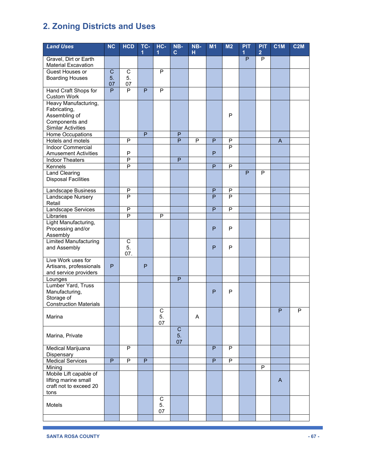| <b>Land Uses</b>                                 | NC             | <b>HCD</b>              | TC-            | $HC -$<br>1       | NB-<br>$\mathbf{C}$ | NB-<br>н | M <sub>1</sub> | M <sub>2</sub> | <b>PIT</b><br>1 | <b>PIT</b><br>$\overline{2}$ | C <sub>1</sub> M | C2M |
|--------------------------------------------------|----------------|-------------------------|----------------|-------------------|---------------------|----------|----------------|----------------|-----------------|------------------------------|------------------|-----|
| Gravel, Dirt or Earth                            |                |                         |                |                   |                     |          |                |                | P               | P                            |                  |     |
| <b>Material Excavation</b>                       |                |                         |                |                   |                     |          |                |                |                 |                              |                  |     |
| Guest Houses or                                  | $\mathsf C$    | C                       |                | P                 |                     |          |                |                |                 |                              |                  |     |
| <b>Boarding Houses</b>                           | 5.             | 5.                      |                |                   |                     |          |                |                |                 |                              |                  |     |
|                                                  | 07             | 07                      |                |                   |                     |          |                |                |                 |                              |                  |     |
| Hand Craft Shops for                             | P              | P                       | P              | P                 |                     |          |                |                |                 |                              |                  |     |
| <b>Custom Work</b><br>Heavy Manufacturing,       |                |                         |                |                   |                     |          |                |                |                 |                              |                  |     |
| Fabricating,                                     |                |                         |                |                   |                     |          |                |                |                 |                              |                  |     |
| Assembling of                                    |                |                         |                |                   |                     |          |                | $\mathsf{P}$   |                 |                              |                  |     |
| Components and                                   |                |                         |                |                   |                     |          |                |                |                 |                              |                  |     |
| <b>Similar Activities</b>                        |                |                         |                |                   |                     |          |                |                |                 |                              |                  |     |
| Home Occupations                                 |                |                         | $\overline{P}$ |                   | $\mathsf{P}$        |          |                |                |                 |                              |                  |     |
| Hotels and motels<br><b>Indoor Commercial</b>    |                | P                       |                |                   | P                   | P        | P              | $\sf P$<br>P   |                 |                              | A                |     |
| <b>Amusement Activities</b>                      |                | P                       |                |                   |                     |          | P              |                |                 |                              |                  |     |
| <b>Indoor Theaters</b>                           |                | $\overline{\mathsf{P}}$ |                |                   | $\mathsf{P}$        |          |                |                |                 |                              |                  |     |
| Kennels                                          |                | $\overline{P}$          |                |                   |                     |          | P              | $\overline{P}$ |                 |                              |                  |     |
| <b>Land Clearing</b>                             |                |                         |                |                   |                     |          |                |                | P               | P                            |                  |     |
| <b>Disposal Facilities</b>                       |                |                         |                |                   |                     |          |                |                |                 |                              |                  |     |
| Landscape Business                               |                | P                       |                |                   |                     |          | P              | P              |                 |                              |                  |     |
| Landscape Nursery                                |                | $\overline{P}$          |                |                   |                     |          | $\overline{P}$ | P              |                 |                              |                  |     |
| Retail                                           |                |                         |                |                   |                     |          |                |                |                 |                              |                  |     |
| Landscape Services                               |                | $\overline{P}$          |                |                   |                     |          | P              | $\overline{P}$ |                 |                              |                  |     |
| Libraries                                        |                | $\overline{\mathsf{P}}$ |                | P                 |                     |          |                |                |                 |                              |                  |     |
| Light Manufacturing,<br>Processing and/or        |                |                         |                |                   |                     |          | P              | P              |                 |                              |                  |     |
| Assembly                                         |                |                         |                |                   |                     |          |                |                |                 |                              |                  |     |
| <b>Limited Manufacturing</b>                     |                | $\overline{C}$          |                |                   |                     |          |                |                |                 |                              |                  |     |
| and Assembly                                     |                | 5.                      |                |                   |                     |          | P              | P              |                 |                              |                  |     |
|                                                  |                | 07.                     |                |                   |                     |          |                |                |                 |                              |                  |     |
| Live Work uses for                               |                |                         |                |                   |                     |          |                |                |                 |                              |                  |     |
| Artisans, professionals<br>and service providers | P              |                         | P              |                   |                     |          |                |                |                 |                              |                  |     |
| Lounges                                          |                |                         |                |                   | P                   |          |                |                |                 |                              |                  |     |
| Lumber Yard, Truss                               |                |                         |                |                   |                     |          |                |                |                 |                              |                  |     |
| Manufacturing,                                   |                |                         |                |                   |                     |          | P              | $\mathsf{P}$   |                 |                              |                  |     |
| Storage of                                       |                |                         |                |                   |                     |          |                |                |                 |                              |                  |     |
| <b>Construction Materials</b>                    |                |                         |                |                   |                     |          |                |                |                 |                              | D                |     |
| Marina                                           |                |                         |                | C<br>5.           |                     | A        |                |                |                 |                              |                  | D   |
|                                                  |                |                         |                | 07                |                     |          |                |                |                 |                              |                  |     |
|                                                  |                |                         |                |                   | $\mathsf C$         |          |                |                |                 |                              |                  |     |
| Marina, Private                                  |                |                         |                |                   | 5.                  |          |                |                |                 |                              |                  |     |
|                                                  |                |                         |                |                   | 07                  |          |                |                |                 |                              |                  |     |
| Medical Marijuana                                |                | P                       |                |                   |                     |          | P              | P              |                 |                              |                  |     |
| Dispensary<br><b>Medical Services</b>            | $\overline{P}$ | $\overline{P}$          | P              |                   |                     |          | P              | P              |                 |                              |                  |     |
| Mining                                           |                |                         |                |                   |                     |          |                |                |                 | P                            |                  |     |
| Mobile Lift capable of                           |                |                         |                |                   |                     |          |                |                |                 |                              |                  |     |
| lifting marine small                             |                |                         |                |                   |                     |          |                |                |                 |                              | $\mathsf{A}$     |     |
| craft not to exceed 20                           |                |                         |                |                   |                     |          |                |                |                 |                              |                  |     |
| tons                                             |                |                         |                |                   |                     |          |                |                |                 |                              |                  |     |
| Motels                                           |                |                         |                | $\mathbf C$<br>5. |                     |          |                |                |                 |                              |                  |     |
|                                                  |                |                         |                | 07                |                     |          |                |                |                 |                              |                  |     |
|                                                  |                |                         |                |                   |                     |          |                |                |                 |                              |                  |     |

ı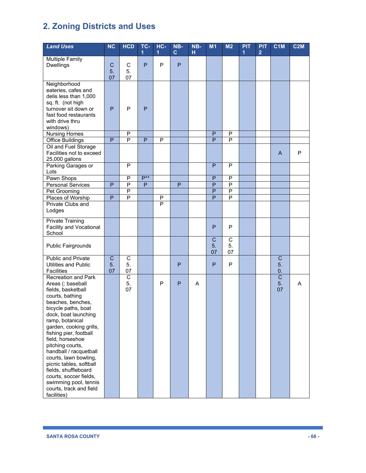| <b>Land Uses</b>                                                                                                                                                                                                                                                                                                                                                                                                                                                                | NC            | <b>HCD</b>                        | TC-<br>1       | HC-<br>1       | NB-<br>$\mathbf{C}$ | NB-<br>H | M1                       | M <sub>2</sub>             | <b>PIT</b><br>$\overline{1}$ | <b>PIT</b><br>$\overline{2}$ | C <sub>1</sub> M                    | C2M |
|---------------------------------------------------------------------------------------------------------------------------------------------------------------------------------------------------------------------------------------------------------------------------------------------------------------------------------------------------------------------------------------------------------------------------------------------------------------------------------|---------------|-----------------------------------|----------------|----------------|---------------------|----------|--------------------------|----------------------------|------------------------------|------------------------------|-------------------------------------|-----|
| <b>Multiple Family</b><br><b>Dwellings</b>                                                                                                                                                                                                                                                                                                                                                                                                                                      | C<br>5.<br>07 | $\mathbf C$<br>5.<br>07           | P              | P              | P                   |          |                          |                            |                              |                              |                                     |     |
| Neighborhood<br>eateries, cafes and<br>delis less than 1,000<br>sq. ft. (not high<br>turnover sit down or<br>fast food restaurants<br>with drive thru<br>windows)                                                                                                                                                                                                                                                                                                               | P             | P                                 | P              |                |                     |          |                          |                            |                              |                              |                                     |     |
| <b>Nursing Homes</b>                                                                                                                                                                                                                                                                                                                                                                                                                                                            |               | P                                 |                |                |                     |          | P                        | P                          |                              |                              |                                     |     |
| <b>Office Buildings</b><br>Oil and Fuel Storage<br>Facilities not to exceed<br>25,000 gallons                                                                                                                                                                                                                                                                                                                                                                                   | P             | $\overline{\mathsf{P}}$           | $\overline{P}$ | $\overline{P}$ |                     |          | P                        | P                          |                              |                              | A                                   | P   |
| Parking Garages or<br>Lots                                                                                                                                                                                                                                                                                                                                                                                                                                                      |               | P                                 |                |                |                     |          | P                        | P                          |                              |                              |                                     |     |
| Pawn Shops                                                                                                                                                                                                                                                                                                                                                                                                                                                                      |               | P                                 | $P^{**}$       |                |                     |          | P                        | P                          |                              |                              |                                     |     |
| <b>Personal Services</b>                                                                                                                                                                                                                                                                                                                                                                                                                                                        | P             | P                                 | P              |                | P                   |          | P                        | P                          |                              |                              |                                     |     |
| Pet Grooming                                                                                                                                                                                                                                                                                                                                                                                                                                                                    | P             | P<br>$\overline{P}$               |                |                |                     |          | P<br>P                   | P<br>P                     |                              |                              |                                     |     |
| Places of Worship<br><b>Private Clubs and</b><br>Lodges                                                                                                                                                                                                                                                                                                                                                                                                                         |               |                                   |                | Ρ<br>P         |                     |          |                          |                            |                              |                              |                                     |     |
| <b>Private Training</b><br>Facility and Vocational<br>School                                                                                                                                                                                                                                                                                                                                                                                                                    |               |                                   |                |                |                     |          | P                        | P                          |                              |                              |                                     |     |
| <b>Public Fairgrounds</b>                                                                                                                                                                                                                                                                                                                                                                                                                                                       |               |                                   |                |                |                     |          | $\mathsf{C}$<br>5.<br>07 | $\overline{C}$<br>5.<br>07 |                              |                              |                                     |     |
| <b>Public and Private</b><br><b>Utilities and Public</b><br>Facilities                                                                                                                                                                                                                                                                                                                                                                                                          | C<br>5.<br>07 | C<br>5.<br>07                     |                |                | P                   |          | P                        | P                          |                              |                              | C<br>5.<br>0.                       |     |
| <b>Recreation and Park</b><br>Areas (: baseball<br>fields, basketball<br>courts, bathing<br>beaches, benches,<br>bicycle paths, boat<br>dock, boat launching<br>ramp, botanical<br>garden, cooking grills,<br>fishing pier, football<br>field, horseshoe<br>pitching courts,<br>handball / racquetball<br>courts, lawn bowling,<br>picnic tables, softball<br>fields, shuffleboard<br>courts, soccer fields,<br>swimming pool, tennis<br>courts, track and field<br>facilities) |               | $\overline{\text{c}}$<br>5.<br>07 |                | P              | P                   | A        |                          |                            |                              |                              | $\overline{\mathsf{C}}$<br>5.<br>07 | A   |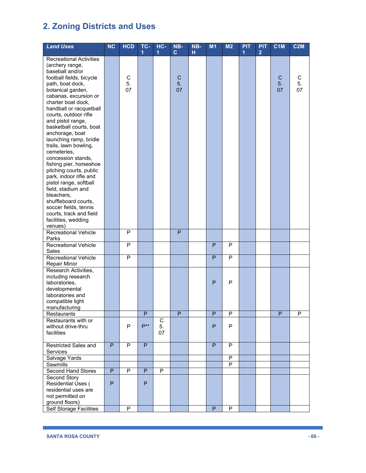| <b>Land Uses</b>                           | <b>NC</b> | <b>HCD</b> | TC-<br>1 | HC-<br>1 | NB-<br>$\mathbf{C}$ | NB-<br>н | M1           | M <sub>2</sub> | <b>PIT</b><br>1 | <b>PIT</b><br>$\overline{2}$ | C <sub>1</sub> M | <b>C2M</b> |
|--------------------------------------------|-----------|------------|----------|----------|---------------------|----------|--------------|----------------|-----------------|------------------------------|------------------|------------|
| <b>Recreational Activities</b>             |           |            |          |          |                     |          |              |                |                 |                              |                  |            |
| (archery range,                            |           |            |          |          |                     |          |              |                |                 |                              |                  |            |
| baseball and/or                            |           |            |          |          |                     |          |              |                |                 |                              |                  |            |
| football fields, bicycle                   |           | С          |          |          | $\mathsf{C}$        |          |              |                |                 |                              | $\mathsf C$      | С          |
| path, boat dock,                           |           | 5.         |          |          | 5.                  |          |              |                |                 |                              | 5.               | 5.         |
| botanical garden,                          |           | 07         |          |          | 07                  |          |              |                |                 |                              | 07               | 07         |
| cabanas, excursion or                      |           |            |          |          |                     |          |              |                |                 |                              |                  |            |
| charter boat dock,                         |           |            |          |          |                     |          |              |                |                 |                              |                  |            |
| handball or racquetball                    |           |            |          |          |                     |          |              |                |                 |                              |                  |            |
| courts, outdoor rifle                      |           |            |          |          |                     |          |              |                |                 |                              |                  |            |
| and pistol range,                          |           |            |          |          |                     |          |              |                |                 |                              |                  |            |
| basketball courts, boat                    |           |            |          |          |                     |          |              |                |                 |                              |                  |            |
| anchorage, boat                            |           |            |          |          |                     |          |              |                |                 |                              |                  |            |
| launching ramp, bridle                     |           |            |          |          |                     |          |              |                |                 |                              |                  |            |
| trails, lawn bowling,                      |           |            |          |          |                     |          |              |                |                 |                              |                  |            |
| cemeteries,                                |           |            |          |          |                     |          |              |                |                 |                              |                  |            |
| concession stands,                         |           |            |          |          |                     |          |              |                |                 |                              |                  |            |
| fishing pier, horseshoe                    |           |            |          |          |                     |          |              |                |                 |                              |                  |            |
| pitching courts, public                    |           |            |          |          |                     |          |              |                |                 |                              |                  |            |
| park, indoor rifle and                     |           |            |          |          |                     |          |              |                |                 |                              |                  |            |
| pistol range, softball                     |           |            |          |          |                     |          |              |                |                 |                              |                  |            |
| field, stadium and<br>bleachers,           |           |            |          |          |                     |          |              |                |                 |                              |                  |            |
| shuffleboard courts,                       |           |            |          |          |                     |          |              |                |                 |                              |                  |            |
| soccer fields, tennis                      |           |            |          |          |                     |          |              |                |                 |                              |                  |            |
| courts, track and field                    |           |            |          |          |                     |          |              |                |                 |                              |                  |            |
| facilities, wedding                        |           |            |          |          |                     |          |              |                |                 |                              |                  |            |
| venues)                                    |           |            |          |          |                     |          |              |                |                 |                              |                  |            |
| Recreational Vehicle                       |           | P          |          |          | P                   |          |              |                |                 |                              |                  |            |
| Parks                                      |           |            |          |          |                     |          |              |                |                 |                              |                  |            |
| <b>Recreational Vehicle</b>                |           | P          |          |          |                     |          | P            | P              |                 |                              |                  |            |
| Sales                                      |           |            |          |          |                     |          |              |                |                 |                              |                  |            |
| <b>Recreational Vehicle</b>                |           | P          |          |          |                     |          | P            | P              |                 |                              |                  |            |
| <b>Repair Minor</b>                        |           |            |          |          |                     |          |              |                |                 |                              |                  |            |
| Research Activities,<br>including research |           |            |          |          |                     |          |              |                |                 |                              |                  |            |
| laboratories,                              |           |            |          |          |                     |          | P            | P              |                 |                              |                  |            |
| developmental                              |           |            |          |          |                     |          |              |                |                 |                              |                  |            |
| laboratories and                           |           |            |          |          |                     |          |              |                |                 |                              |                  |            |
| compatible light                           |           |            |          |          |                     |          |              |                |                 |                              |                  |            |
| manufacturing                              |           |            |          |          |                     |          |              |                |                 |                              |                  |            |
| Restaurants                                |           |            | P        |          | P                   |          | P            | P              |                 |                              | P                | P          |
| Restaurants with or                        |           |            |          | C        |                     |          |              |                |                 |                              |                  |            |
| without drive-thru                         |           | P          | $P^{**}$ | 5.       |                     |          | $\mathsf{P}$ | P              |                 |                              |                  |            |
| facilities                                 |           |            |          | 07       |                     |          |              |                |                 |                              |                  |            |
|                                            |           |            |          |          |                     |          |              |                |                 |                              |                  |            |
| Restricted Sales and                       | P         | P          | P        |          |                     |          | P            | P              |                 |                              |                  |            |
| <b>Services</b>                            |           |            |          |          |                     |          |              |                |                 |                              |                  |            |
| Salvage Yards<br>Sawmills                  |           |            |          |          |                     |          |              | P<br>P         |                 |                              |                  |            |
| Second Hand Stores                         | P         | P          | P.       | P        |                     |          |              |                |                 |                              |                  |            |
| Second Story                               |           |            |          |          |                     |          |              |                |                 |                              |                  |            |
| Residential Uses (                         | P         |            | P        |          |                     |          |              |                |                 |                              |                  |            |
| residential uses are                       |           |            |          |          |                     |          |              |                |                 |                              |                  |            |
| not permitted on                           |           |            |          |          |                     |          |              |                |                 |                              |                  |            |
| ground floors)                             |           |            |          |          |                     |          |              |                |                 |                              |                  |            |
| <b>Self Storage Facilities</b>             |           | P          |          |          |                     |          | P            | P              |                 |                              |                  |            |

ı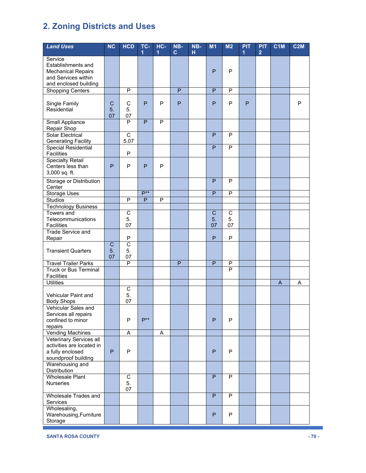| <b>Land Uses</b>                                      | <b>NC</b>      | <b>HCD</b>             | TC-      | $HC -$ | NB-          | NB- | M1             | M <sub>2</sub> | <b>PIT</b> | <b>PIT</b>     | C1M | <b>C2M</b> |
|-------------------------------------------------------|----------------|------------------------|----------|--------|--------------|-----|----------------|----------------|------------|----------------|-----|------------|
| Service                                               |                |                        | 1        | 1      | $\mathbf{C}$ | н   |                |                | 1          | $\overline{2}$ |     |            |
| Establishments and                                    |                |                        |          |        |              |     |                |                |            |                |     |            |
| <b>Mechanical Repairs</b>                             |                |                        |          |        |              |     | P              | P              |            |                |     |            |
| and Services within                                   |                |                        |          |        |              |     |                |                |            |                |     |            |
| and enclosed building                                 |                |                        |          |        |              |     |                |                |            |                |     |            |
| <b>Shopping Centers</b>                               |                | P                      |          |        | $\mathsf{P}$ |     | $\overline{P}$ | ${\sf P}$      |            |                |     |            |
| Single Family                                         | C              | $\mathsf C$            | P        | P      | P            |     | P              | P              | P          |                |     | P          |
| Residential                                           | 5.             | 5.                     |          |        |              |     |                |                |            |                |     |            |
|                                                       | 07             | 07                     |          |        |              |     |                |                |            |                |     |            |
| Small Appliance                                       |                | P                      | P        | P      |              |     |                |                |            |                |     |            |
| Repair Shop                                           |                |                        |          |        |              |     |                |                |            |                |     |            |
| <b>Solar Electrical</b><br><b>Generating Facility</b> |                | $\overline{C}$<br>5.07 |          |        |              |     | P              | P              |            |                |     |            |
| <b>Special Residential</b>                            |                |                        |          |        |              |     | P              | P              |            |                |     |            |
| <b>Facilities</b>                                     |                | P                      |          |        |              |     |                |                |            |                |     |            |
| <b>Specialty Retail</b>                               |                |                        |          |        |              |     |                |                |            |                |     |            |
| Centers less than                                     | P              | P                      | P        | P      |              |     |                |                |            |                |     |            |
| 3,000 sq. ft.                                         |                |                        |          |        |              |     |                |                |            |                |     |            |
| Storage or Distribution<br>Center                     |                |                        |          |        |              |     | P              | P              |            |                |     |            |
| <b>Storage Uses</b>                                   |                |                        | $P***$   |        |              |     | P              | P              |            |                |     |            |
| <b>Studios</b>                                        |                | P                      | P        | P      |              |     |                |                |            |                |     |            |
| <b>Technology Business</b>                            |                |                        |          |        |              |     |                |                |            |                |     |            |
| Towers and                                            |                | $\overline{C}$         |          |        |              |     | $\overline{C}$ | $\overline{C}$ |            |                |     |            |
| Telecommunications<br><b>Facilities</b>               |                | 5.<br>07               |          |        |              |     | 5.<br>07       | 5.<br>07       |            |                |     |            |
| <b>Trade Service and</b>                              |                |                        |          |        |              |     |                |                |            |                |     |            |
| Repair                                                |                | P                      |          |        |              |     | P              | ${\sf P}$      |            |                |     |            |
|                                                       | $\overline{C}$ | $\overline{\text{c}}$  |          |        |              |     |                |                |            |                |     |            |
| <b>Transient Quarters</b>                             | 5.             | 5.                     |          |        |              |     |                |                |            |                |     |            |
| <b>Travel Trailer Parks</b>                           | 07             | 07<br>$\mathsf{P}$     |          |        | $\mathsf{P}$ |     | P              | ${\sf P}$      |            |                |     |            |
| <b>Truck or Bus Terminal</b>                          |                |                        |          |        |              |     |                | P              |            |                |     |            |
| <b>Facilities</b>                                     |                |                        |          |        |              |     |                |                |            |                |     |            |
| <b>Utilities</b>                                      |                |                        |          |        |              |     |                |                |            |                | A   | A          |
|                                                       |                | $\mathsf C$            |          |        |              |     |                |                |            |                |     |            |
| Vehicular Paint and<br><b>Body Shops</b>              |                | 5.<br>07               |          |        |              |     |                |                |            |                |     |            |
| Vehicular Sales and                                   |                |                        |          |        |              |     |                |                |            |                |     |            |
| Services all repairs                                  |                |                        |          |        |              |     |                |                |            |                |     |            |
| confined to minor                                     |                | P                      | $P^{**}$ |        |              |     | P              | P              |            |                |     |            |
| repairs                                               |                |                        |          |        |              |     |                |                |            |                |     |            |
| <b>Vending Machines</b><br>Veterinary Services all    |                | A                      |          | Α      |              |     |                |                |            |                |     |            |
| activities are located in                             |                |                        |          |        |              |     |                |                |            |                |     |            |
| a fully enclosed                                      | P              | P                      |          |        |              |     | P              | P              |            |                |     |            |
| soundproof building                                   |                |                        |          |        |              |     |                |                |            |                |     |            |
| Warehousing and                                       |                |                        |          |        |              |     |                |                |            |                |     |            |
| Distribution<br><b>Wholesale Plant</b>                |                | $\overline{C}$         |          |        |              |     | P              | P              |            |                |     |            |
| <b>Nurseries</b>                                      |                | 5.                     |          |        |              |     |                |                |            |                |     |            |
|                                                       |                | 07                     |          |        |              |     |                |                |            |                |     |            |
| Wholesale Trades and                                  |                |                        |          |        |              |     | P              | P              |            |                |     |            |
| Services                                              |                |                        |          |        |              |     |                |                |            |                |     |            |
| Wholesaling,<br>Warehousing, Furniture                |                |                        |          |        |              |     | P              | ${\sf P}$      |            |                |     |            |
| Storage                                               |                |                        |          |        |              |     |                |                |            |                |     |            |
|                                                       |                |                        |          |        |              |     |                |                |            |                |     |            |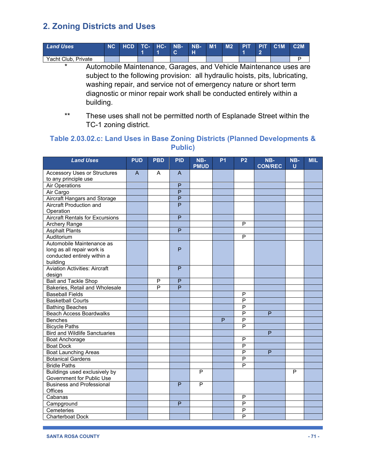| Land Uses           | NC HCD TC- HC- |  | <b>NB-N</b> | $N_{\rm B}$<br>Ή | M1 | M <sub>2</sub> |  | PIT PIT C1M | C2M |
|---------------------|----------------|--|-------------|------------------|----|----------------|--|-------------|-----|
| Yacht Club, Private |                |  |             |                  |    |                |  |             |     |

\* Automobile Maintenance, Garages, and Vehicle Maintenance uses are subject to the following provision: all hydraulic hoists, pits, lubricating, washing repair, and service not of emergency nature or short term diagnostic or minor repair work shall be conducted entirely within a building.

\*\* These uses shall not be permitted north of Esplanade Street within the TC-1 zoning district.

### **Table 2.03.02.c: Land Uses in Base Zoning Districts (Planned Developments & Public)**

| <b>Land Uses</b>                            | <b>PUD</b>     | <b>PBD</b>                       | <b>PID</b>     | NB-<br><b>PMUD</b> | P <sub>1</sub> | P <sub>2</sub>          | NB-<br><b>CON/REC</b> | NB-<br>$\mathbf{U}$ | <b>MIL</b> |
|---------------------------------------------|----------------|----------------------------------|----------------|--------------------|----------------|-------------------------|-----------------------|---------------------|------------|
| <b>Accessory Uses or Structures</b>         | $\overline{A}$ | A                                | A              |                    |                |                         |                       |                     |            |
| to any principle use                        |                |                                  |                |                    |                |                         |                       |                     |            |
| <b>Air Operations</b>                       |                |                                  | $\overline{P}$ |                    |                |                         |                       |                     |            |
| Air Cargo                                   |                |                                  | $\overline{P}$ |                    |                |                         |                       |                     |            |
| Aircraft Hangars and Storage                |                |                                  | $\overline{P}$ |                    |                |                         |                       |                     |            |
| <b>Aircraft Production and</b>              |                |                                  | P              |                    |                |                         |                       |                     |            |
| Operation                                   |                |                                  |                |                    |                |                         |                       |                     |            |
| <b>Aircraft Rentals for Excursions</b>      |                |                                  | $\overline{P}$ |                    |                |                         |                       |                     |            |
| Archery Range                               |                |                                  |                |                    |                | P                       |                       |                     |            |
| <b>Asphalt Plants</b>                       |                |                                  | $\overline{P}$ |                    |                |                         |                       |                     |            |
| Auditorium                                  |                |                                  |                |                    |                | $\mathsf{P}$            |                       |                     |            |
| Automobile Maintenance as                   |                |                                  |                |                    |                |                         |                       |                     |            |
| long as all repair work is                  |                |                                  | P              |                    |                |                         |                       |                     |            |
| conducted entirely within a                 |                |                                  |                |                    |                |                         |                       |                     |            |
| building                                    |                |                                  |                |                    |                |                         |                       |                     |            |
| <b>Aviation Activities: Aircraft</b>        |                |                                  | P              |                    |                |                         |                       |                     |            |
| design                                      |                |                                  |                |                    |                |                         |                       |                     |            |
| Bait and Tackle Shop                        |                | $\overline{P}$<br>$\overline{P}$ | $\overline{P}$ |                    |                |                         |                       |                     |            |
| Bakeries, Retail and Wholesale              |                |                                  | $\overline{P}$ |                    |                |                         |                       |                     |            |
| <b>Baseball Fields</b>                      |                |                                  |                |                    |                | $\mathsf{P}$            |                       |                     |            |
| <b>Basketball Courts</b>                    |                |                                  |                |                    |                | $\overline{P}$          |                       |                     |            |
| <b>Bathing Beaches</b>                      |                |                                  |                |                    |                | P                       |                       |                     |            |
| <b>Beach Access Boardwalks</b>              |                |                                  |                |                    |                | P                       | P                     |                     |            |
| <b>Benches</b>                              |                |                                  |                |                    | P              | $\overline{\mathsf{P}}$ |                       |                     |            |
| <b>Bicycle Paths</b>                        |                |                                  |                |                    |                | $\overline{P}$          |                       |                     |            |
| <b>Bird and Wildlife Sanctuaries</b>        |                |                                  |                |                    |                |                         | P                     |                     |            |
| <b>Boat Anchorage</b>                       |                |                                  |                |                    |                | $\mathsf{P}$            |                       |                     |            |
| <b>Boat Dock</b>                            |                |                                  |                |                    |                | P                       |                       |                     |            |
| <b>Boat Launching Areas</b>                 |                |                                  |                |                    |                | $\overline{P}$          | P                     |                     |            |
| <b>Botanical Gardens</b>                    |                |                                  |                |                    |                | $\overline{P}$          |                       |                     |            |
| <b>Bridle Paths</b>                         |                |                                  |                |                    |                | $\overline{\mathsf{P}}$ |                       |                     |            |
| Buildings used exclusively by               |                |                                  |                | P                  |                |                         |                       | P                   |            |
| Government for Public Use                   |                |                                  |                |                    |                |                         |                       |                     |            |
| <b>Business and Professional</b><br>Offices |                |                                  | P              | P                  |                |                         |                       |                     |            |
| Cabanas                                     |                |                                  |                |                    |                | P                       |                       |                     |            |
| Campground                                  |                |                                  | P              |                    |                | $\overline{P}$          |                       |                     |            |
| Cemeteries                                  |                |                                  |                |                    |                | $\overline{P}$          |                       |                     |            |
| Charterboat Dock                            |                |                                  |                |                    |                | P                       |                       |                     |            |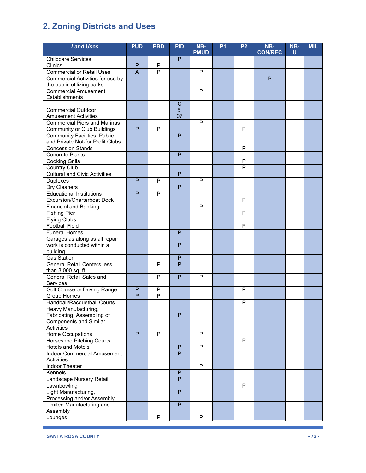| <b>Land Uses</b>                                         | <b>PUD</b>     | <b>PBD</b>     | <b>PID</b>     | NB-            | <b>P1</b> | <b>P2</b> | NB-            | NB- | <b>MIL</b> |
|----------------------------------------------------------|----------------|----------------|----------------|----------------|-----------|-----------|----------------|-----|------------|
|                                                          |                |                |                | <b>PMUD</b>    |           |           | <b>CON/REC</b> | U   |            |
| <b>Childcare Services</b>                                |                |                | P              |                |           |           |                |     |            |
| Clinics                                                  | P              | P              |                |                |           |           |                |     |            |
| <b>Commercial or Retail Uses</b>                         | $\overline{A}$ | $\overline{P}$ |                | P              |           |           |                |     |            |
| Commercial Activities for use by                         |                |                |                |                |           |           | P              |     |            |
| the public utilizing parks                               |                |                |                |                |           |           |                |     |            |
| <b>Commercial Amusement</b>                              |                |                |                | $\mathsf{P}$   |           |           |                |     |            |
| Establishments                                           |                |                |                |                |           |           |                |     |            |
|                                                          |                |                | C              |                |           |           |                |     |            |
| <b>Commercial Outdoor</b><br><b>Amusement Activities</b> |                |                | 5.<br>07       |                |           |           |                |     |            |
| <b>Commercial Piers and Marinas</b>                      |                |                |                | $\overline{P}$ |           |           |                |     |            |
| <b>Community or Club Buildings</b>                       | P              | P              |                |                |           | P         |                |     |            |
| <b>Community Facilities, Public</b>                      |                |                | P              |                |           |           |                |     |            |
| and Private Not-for Profit Clubs                         |                |                |                |                |           |           |                |     |            |
| <b>Concession Stands</b>                                 |                |                |                |                |           | P         |                |     |            |
| Concrete Plants                                          |                |                | P              |                |           |           |                |     |            |
| <b>Cooking Grills</b>                                    |                |                |                |                |           | P         |                |     |            |
| <b>Country Club</b>                                      |                |                |                |                |           | P         |                |     |            |
| <b>Cultural and Civic Activities</b>                     |                |                | P              |                |           |           |                |     |            |
| <b>Duplexes</b>                                          | P              | P              |                | P              |           |           |                |     |            |
| <b>Dry Cleaners</b>                                      |                |                | $\overline{P}$ |                |           |           |                |     |            |
| <b>Educational Institutions</b>                          | P              | P              |                |                |           |           |                |     |            |
| <b>Excursion/Charterboat Dock</b>                        |                |                |                |                |           | P         |                |     |            |
| <b>Financial and Banking</b>                             |                |                |                | P              |           |           |                |     |            |
| <b>Fishing Pier</b>                                      |                |                |                |                |           | P         |                |     |            |
| <b>Flying Clubs</b>                                      |                |                |                |                |           |           |                |     |            |
| <b>Football Field</b>                                    |                |                |                |                |           | P         |                |     |            |
| <b>Funeral Homes</b>                                     |                |                | P              |                |           |           |                |     |            |
| Garages as along as all repair                           |                |                |                |                |           |           |                |     |            |
| work is conducted within a                               |                |                | P              |                |           |           |                |     |            |
| building                                                 |                |                |                |                |           |           |                |     |            |
| <b>Gas Station</b>                                       |                |                | P              |                |           |           |                |     |            |
| <b>General Retail Centers less</b>                       |                | $\overline{P}$ | P              |                |           |           |                |     |            |
| than 3,000 sq. ft.                                       |                |                |                |                |           |           |                |     |            |
| <b>General Retail Sales and</b>                          |                | P              | P              | P              |           |           |                |     |            |
| Services                                                 |                |                |                |                |           |           |                |     |            |
| Golf Course or Driving Range                             | P              | P              |                |                |           | P         |                |     |            |
| <b>Group Homes</b>                                       | P              | P              |                |                |           |           |                |     |            |
| Handball/Racquetball Courts<br>Heavy Manufacturing,      |                |                |                |                |           | P         |                |     |            |
| Fabricating, Assembling of                               |                |                | P              |                |           |           |                |     |            |
| <b>Components and Similar</b>                            |                |                |                |                |           |           |                |     |            |
| Activities                                               |                |                |                |                |           |           |                |     |            |
| <b>Home Occupations</b>                                  | P              | $\overline{P}$ |                | $\overline{P}$ |           |           |                |     |            |
| <b>Horseshoe Pitching Courts</b>                         |                |                |                |                |           | P         |                |     |            |
| <b>Hotels and Motels</b>                                 |                |                | $\mathsf{P}$   | P              |           |           |                |     |            |
| Indoor Commercial Amusement                              |                |                | P              |                |           |           |                |     |            |
| Activities                                               |                |                |                |                |           |           |                |     |            |
| Indoor Theater                                           |                |                |                | ${\sf P}$      |           |           |                |     |            |
| Kennels                                                  |                |                | $\mathsf{P}$   |                |           |           |                |     |            |
| Landscape Nursery Retail                                 |                |                | P              |                |           |           |                |     |            |
| Lawnbowling                                              |                |                |                |                |           | P         |                |     |            |
| Light Manufacturing,                                     |                |                | P              |                |           |           |                |     |            |
| Processing and/or Assembly                               |                |                |                |                |           |           |                |     |            |
| Limited Manufacturing and                                |                |                | P              |                |           |           |                |     |            |
| Assembly                                                 |                |                |                |                |           |           |                |     |            |
| Lounges                                                  |                | P              |                | P              |           |           |                |     |            |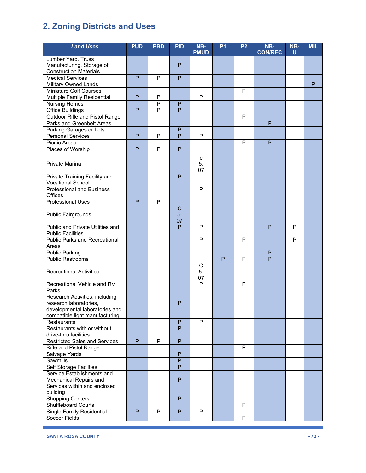| <b>Land Uses</b>                                          | <b>PUD</b>     | <b>PBD</b>     | <b>PID</b>              | NB-            | <b>P1</b> | <b>P2</b>      | NB-            | NB-          | <b>MIL</b> |
|-----------------------------------------------------------|----------------|----------------|-------------------------|----------------|-----------|----------------|----------------|--------------|------------|
|                                                           |                |                |                         | <b>PMUD</b>    |           |                | <b>CON/REC</b> | $\mathbf{U}$ |            |
| Lumber Yard, Truss<br>Manufacturing, Storage of           |                |                | $\mathsf{P}$            |                |           |                |                |              |            |
| <b>Construction Materials</b>                             |                |                |                         |                |           |                |                |              |            |
| <b>Medical Services</b>                                   | P              | P              | $\mathsf{P}$            |                |           |                |                |              |            |
| Military Owned Lands                                      |                |                |                         |                |           |                |                |              | P          |
| Miniature Golf Courses                                    |                |                |                         |                |           | P              |                |              |            |
| Multiple Family Residential                               | P              | $\overline{P}$ |                         | P              |           |                |                |              |            |
| <b>Nursing Homes</b>                                      |                | $\mathsf{P}$   | P                       |                |           |                |                |              |            |
| <b>Office Buildings</b>                                   | $\overline{P}$ | $\overline{P}$ | P                       |                |           |                |                |              |            |
| Outdoor Rifle and Pistol Range                            |                |                |                         |                |           | P              |                |              |            |
| Parks and Greenbelt Areas                                 |                |                |                         |                |           |                | P              |              |            |
| Parking Garages or Lots                                   |                |                | P                       |                |           |                |                |              |            |
| <b>Personal Services</b>                                  | P              | $\mathsf{P}$   | P                       | P              |           |                |                |              |            |
| <b>Picnic Areas</b>                                       |                | $\overline{P}$ |                         |                |           | P              | P              |              |            |
| Places of Worship                                         | P              |                | P                       |                |           |                |                |              |            |
| <b>Private Marina</b>                                     |                |                |                         | c<br>5.        |           |                |                |              |            |
|                                                           |                |                |                         | 07             |           |                |                |              |            |
| Private Training Facility and<br><b>Vocational School</b> |                |                | P                       |                |           |                |                |              |            |
| <b>Professional and Business</b>                          |                |                |                         | P              |           |                |                |              |            |
| Offices                                                   |                |                |                         |                |           |                |                |              |            |
| <b>Professional Uses</b>                                  | P              | P              |                         |                |           |                |                |              |            |
| <b>Public Fairgrounds</b>                                 |                |                | $\mathbf C$<br>5.<br>07 |                |           |                |                |              |            |
| Public and Private Utilities and                          |                |                | P                       | $\overline{P}$ |           |                | $\mathsf{P}$   | P            |            |
| <b>Public Facilities</b>                                  |                |                |                         |                |           |                |                |              |            |
| <b>Public Parks and Recreational</b><br>Areas             |                |                |                         | P              |           | P              |                | P            |            |
| <b>Public Parking</b>                                     |                |                |                         |                |           |                | P              |              |            |
| <b>Public Restrooms</b>                                   |                |                |                         |                | P         | P              | $\overline{P}$ |              |            |
| <b>Recreational Activities</b>                            |                |                |                         | С<br>5.<br>07  |           |                |                |              |            |
| Recreational Vehicle and RV<br>Parks                      |                |                |                         | P              |           | P              |                |              |            |
| Research Activities, including                            |                |                |                         |                |           |                |                |              |            |
| research laboratories,                                    |                |                | P                       |                |           |                |                |              |            |
| developmental laboratories and                            |                |                |                         |                |           |                |                |              |            |
| compatible light manufacturing                            |                |                |                         | P              |           |                |                |              |            |
| Restaurants<br>Restaurants with or without                |                |                | P<br>$\overline{P}$     |                |           |                |                |              |            |
| drive-thru facilities                                     |                |                |                         |                |           |                |                |              |            |
| <b>Restricted Sales and Services</b>                      | P              | P              | ${\sf P}$               |                |           |                |                |              |            |
| Rifle and Pistol Range                                    |                |                |                         |                |           | P              |                |              |            |
| Salvage Yards                                             |                |                | P                       |                |           |                |                |              |            |
| Sawmills                                                  |                |                | P                       |                |           |                |                |              |            |
| <b>Self Storage Facilties</b>                             |                |                | P                       |                |           |                |                |              |            |
| Service Establishments and                                |                |                |                         |                |           |                |                |              |            |
| Mechanical Repairs and                                    |                |                | $\mathsf{P}$            |                |           |                |                |              |            |
| Services within and enclosed                              |                |                |                         |                |           |                |                |              |            |
| building<br><b>Shopping Centers</b>                       |                |                | ${\sf P}$               |                |           |                |                |              |            |
| <b>Shuffleboard Courts</b>                                |                |                |                         |                |           | P              |                |              |            |
| Single Family Residential                                 | P              | P              | $\mathsf{P}$            | P              |           |                |                |              |            |
| Soccer Fields                                             |                |                |                         |                |           | $\overline{P}$ |                |              |            |
|                                                           |                |                |                         |                |           |                |                |              |            |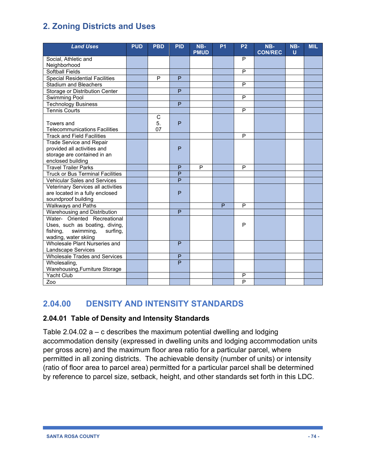| <b>Land Uses</b>                                   | <b>PUD</b> | <b>PBD</b>              | <b>PID</b> | NB-<br><b>PMUD</b> | <b>P1</b> | <b>P2</b>      | NB-<br><b>CON/REC</b> | NB-<br>ū | <b>MIL</b> |
|----------------------------------------------------|------------|-------------------------|------------|--------------------|-----------|----------------|-----------------------|----------|------------|
| Social, Athletic and                               |            |                         |            |                    |           | P              |                       |          |            |
| Neighborhood                                       |            |                         |            |                    |           |                |                       |          |            |
| <b>Softball Fields</b>                             |            |                         |            |                    |           | P              |                       |          |            |
| <b>Special Residential Facilities</b>              |            | P                       | P          |                    |           |                |                       |          |            |
| <b>Stadium and Bleachers</b>                       |            |                         |            |                    |           | P              |                       |          |            |
| Storage or Distribution Center                     |            |                         | P          |                    |           |                |                       |          |            |
| <b>Swimming Pool</b>                               |            |                         |            |                    |           | P              |                       |          |            |
| <b>Technology Business</b>                         |            |                         | P          |                    |           |                |                       |          |            |
| <b>Tennis Courts</b>                               |            |                         |            |                    |           | P              |                       |          |            |
| Towers and<br><b>Telecommunications Facilities</b> |            | $\mathsf C$<br>5.<br>07 | P          |                    |           |                |                       |          |            |
| <b>Track and Field Facilities</b>                  |            |                         |            |                    |           | P              |                       |          |            |
| <b>Trade Service and Repair</b>                    |            |                         |            |                    |           |                |                       |          |            |
| provided all activities and                        |            |                         | P          |                    |           |                |                       |          |            |
| storage are contained in an                        |            |                         |            |                    |           |                |                       |          |            |
| enclosed building                                  |            |                         |            |                    |           |                |                       |          |            |
| <b>Travel Trailer Parks</b>                        |            |                         | P          | P                  |           | P              |                       |          |            |
| <b>Truck or Bus Terminal Facilities</b>            |            |                         | P          |                    |           |                |                       |          |            |
| <b>Vehicular Sales and Services</b>                |            |                         | P          |                    |           |                |                       |          |            |
| Veterinary Services all activities                 |            |                         |            |                    |           |                |                       |          |            |
| are located in a fully enclosed                    |            |                         | P          |                    |           |                |                       |          |            |
| soundproof building                                |            |                         |            |                    |           |                |                       |          |            |
| <b>Walkways and Paths</b>                          |            |                         |            |                    | P         | P              |                       |          |            |
| Warehousing and Distribution                       |            |                         | P          |                    |           |                |                       |          |            |
| Water- Oriented Recreational                       |            |                         |            |                    |           |                |                       |          |            |
| Uses, such as boating, diving,                     |            |                         |            |                    |           | P              |                       |          |            |
| fishing,<br>swimming,<br>surfing,                  |            |                         |            |                    |           |                |                       |          |            |
| wading, water skiing                               |            |                         |            |                    |           |                |                       |          |            |
| Wholesale Plant Nurseries and                      |            |                         | P          |                    |           |                |                       |          |            |
| Landscape Services                                 |            |                         |            |                    |           |                |                       |          |            |
| <b>Wholesale Trades and Services</b>               |            |                         | P          |                    |           |                |                       |          |            |
| Wholesaling,                                       |            |                         | P          |                    |           |                |                       |          |            |
| Warehousing, Furniture Storage                     |            |                         |            |                    |           |                |                       |          |            |
| <b>Yacht Club</b>                                  |            |                         |            |                    |           | P              |                       |          |            |
| Zoo                                                |            |                         |            |                    |           | $\overline{P}$ |                       |          |            |

# **2.04.00 DENSITY AND INTENSITY STANDARDS**

## **2.04.01 Table of Density and Intensity Standards**

Table 2.04.02  $a - c$  describes the maximum potential dwelling and lodging accommodation density (expressed in dwelling units and lodging accommodation units per gross acre) and the maximum floor area ratio for a particular parcel, where permitted in all zoning districts. The achievable density (number of units) or intensity (ratio of floor area to parcel area) permitted for a particular parcel shall be determined by reference to parcel size, setback, height, and other standards set forth in this LDC.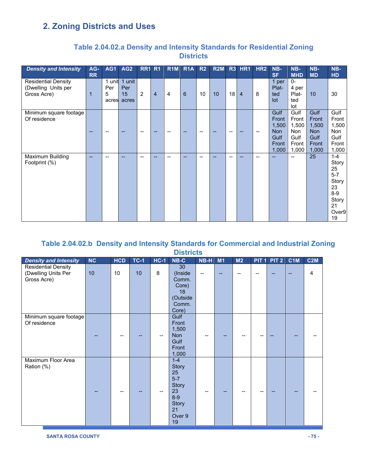| <b>Density and Intensity</b>                                     | AG-<br><b>RR</b> | AG1                         | AG <sub>2</sub>              |                | <b>RR1 R1</b>  | R <sub>1</sub> M | R <sub>1</sub> A | R2 | R2M |                 | <b>R3 HR1</b>  | HR <sub>2</sub> | NB-<br><b>SF</b>                                               | NB-<br><b>MHD</b>                                       | NB-<br><b>MD</b>                                               | NB-<br>HD                                                                               |
|------------------------------------------------------------------|------------------|-----------------------------|------------------------------|----------------|----------------|------------------|------------------|----|-----|-----------------|----------------|-----------------|----------------------------------------------------------------|---------------------------------------------------------|----------------------------------------------------------------|-----------------------------------------------------------------------------------------|
| <b>Residential Density</b><br>(Dwelling Units per<br>Gross Acre) | 1                | 1 unit<br>Per<br>5<br>acres | 1 unit<br>Per<br>15<br>acres | $\overline{2}$ | $\overline{4}$ | $\overline{4}$   | 6                | 10 | 10  | 18 <sup>1</sup> | $\overline{4}$ | 8               | 1 per<br>Plat-<br>ted<br>lot                                   | $0-$<br>4 per<br>Plat-<br>ted<br>lot                    | 10                                                             | 30                                                                                      |
| Minimum square footage<br>Of residence                           |                  |                             |                              | --             |                |                  |                  |    |     | --              |                |                 | Gulf<br>Front<br>1,500<br><b>Non</b><br>Gulf<br>Front<br>1,000 | Gulf<br>Front<br>1,500<br>Non<br>Gulf<br>Front<br>1,000 | Gulf<br>Front<br>1,500<br><b>Non</b><br>Gulf<br>Front<br>1,000 | Gulf<br>Front<br>1,500<br>Non<br>Gulf<br>Front<br>1,000                                 |
| Maximum Building<br>Footprint (%)                                | --               | --                          | --                           | --             |                |                  |                  |    |     | --              |                | --              |                                                                | --                                                      | 25                                                             | $1 - 4$<br>Story<br>25<br>$5 - 7$<br>Story<br>23<br>$8-9$<br>Story<br>21<br>Over9<br>19 |

## **Table 2.04.02.a Density and Intensity Standards for Residential Zoning Districts**

## **Table 2.04.02.b Density and Intensity Standards for Commercial and Industrial Zoning Districts**

| <b>Density and Intensity</b>                                     | NC | <b>HCD</b> | $TC-1$ | $HC-1$ | $NB-C$                                                                                 | NB-H | M1  | M <sub>2</sub> | PIT <sub>1</sub> | PIT <sub>2</sub> | C1M | C2M |
|------------------------------------------------------------------|----|------------|--------|--------|----------------------------------------------------------------------------------------|------|-----|----------------|------------------|------------------|-----|-----|
| <b>Residential Density</b><br>(Dwelling Units Per<br>Gross Acre) | 10 | 10         | 10     | 8      | 30<br>(Inside<br>Comm.<br>Core)<br>18<br>(Outside<br>Comm.<br>Core)                    | $-$  | $-$ | --             | --               |                  |     | 4   |
| Minimum square footage<br>Of residence                           |    |            |        |        | <b>Gulf</b><br>Front<br>1,500<br><b>Non</b><br>Gulf<br>Front<br>1,000                  |      |     |                |                  |                  |     |     |
| Maximum Floor Area<br>Ration (%)                                 |    |            |        |        | $1-4$<br>Story<br>25<br>$5 - 7$<br>Story<br>23<br>$8-9$<br>Story<br>21<br>Over 9<br>19 |      |     |                |                  |                  |     |     |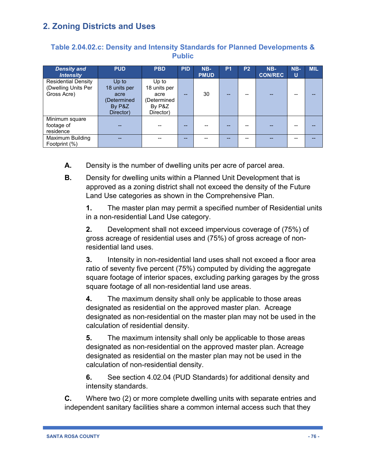## **Table 2.04.02.c: Density and Intensity Standards for Planned Developments & Public**

| <b>Density and</b>         | <b>PUD</b>   | <b>PBD</b>   | <b>PID</b> | $NB-$       | P1 | P <sub>2</sub> | NB-            | NB- | <b>MIL</b> |
|----------------------------|--------------|--------------|------------|-------------|----|----------------|----------------|-----|------------|
| <b>Intensity</b>           |              |              |            | <b>PMUD</b> |    |                | <b>CON/REC</b> | U   |            |
| <b>Residential Density</b> | Up to        | Up to        |            |             |    |                |                |     |            |
| (Dwelling Units Per        | 18 units per | 18 units per |            |             |    |                |                |     |            |
| Gross Acre)                | acre         | acre         |            | 30          | -- |                |                |     |            |
|                            | (Determined  | (Determined  |            |             |    |                |                |     |            |
|                            | By P&Z       | By P&Z       |            |             |    |                |                |     |            |
|                            | Director)    | Director)    |            |             |    |                |                |     |            |
| Minimum square             |              |              |            |             |    |                |                |     |            |
| footage of                 |              |              |            |             |    |                |                |     |            |
| residence                  |              |              |            |             |    |                |                |     |            |
| Maximum Building           |              |              |            |             |    |                |                |     |            |
| Footprint (%)              |              |              |            |             |    |                |                |     |            |

- **A.** Density is the number of dwelling units per acre of parcel area.
- **B.** Density for dwelling units within a Planned Unit Development that is approved as a zoning district shall not exceed the density of the Future Land Use categories as shown in the Comprehensive Plan.

**1.** The master plan may permit a specified number of Residential units in a non-residential Land Use category.

**2.** Development shall not exceed impervious coverage of (75%) of gross acreage of residential uses and (75%) of gross acreage of nonresidential land uses.

**3.** Intensity in non-residential land uses shall not exceed a floor area ratio of seventy five percent (75%) computed by dividing the aggregate square footage of interior spaces, excluding parking garages by the gross square footage of all non-residential land use areas.

**4.** The maximum density shall only be applicable to those areas designated as residential on the approved master plan. Acreage designated as non-residential on the master plan may not be used in the calculation of residential density.

**5.** The maximum intensity shall only be applicable to those areas designated as non-residential on the approved master plan. Acreage designated as residential on the master plan may not be used in the calculation of non-residential density.

**6.** See section 4.02.04 (PUD Standards) for additional density and intensity standards.

**C.** Where two (2) or more complete dwelling units with separate entries and independent sanitary facilities share a common internal access such that they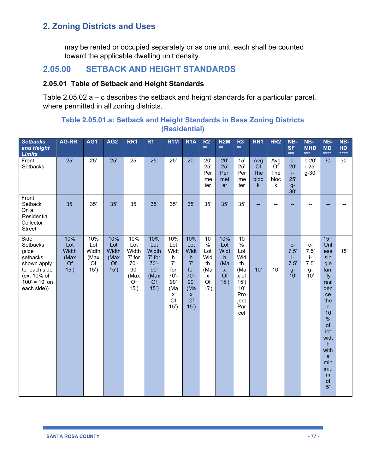may be rented or occupied separately or as one unit, each shall be counted toward the applicable dwelling unit density.

## **2.05.00 SETBACK AND HEIGHT STANDARDS**

## **2.05.01 Table of Setback and Height Standards**

Table 2.05.02 a – c describes the setback and height standards for a particular parcel, where permitted in all zoning districts.

## **Table 2.05.01.a: Setback and Height Standards in Base Zoning Districts (Residential)**

| <b>Setbacks</b><br>and Height<br><b>Limits</b>                                                                        | AG-RR                                     | AG1                                       | AG <sub>2</sub>                                  | RR <sub>1</sub>                                                       | R <sub>1</sub>                                                        | R <sub>1</sub> M                                                                                  | R <sub>1</sub> A                                                                             | R <sub>2</sub><br>$***$                                             | <b>R2M</b><br>$\star\star$                                   | R <sub>3</sub><br>$\star\star$                                                            | HR1                                             | HR <sub>2</sub>               | NB-<br><b>SF</b><br>$***$                           | NB-<br><b>MHD</b><br>$***$                          | NB-<br><b>MD</b><br>$****$                                                                                                                                         | NB-<br><b>HD</b><br>$****$ |
|-----------------------------------------------------------------------------------------------------------------------|-------------------------------------------|-------------------------------------------|--------------------------------------------------|-----------------------------------------------------------------------|-----------------------------------------------------------------------|---------------------------------------------------------------------------------------------------|----------------------------------------------------------------------------------------------|---------------------------------------------------------------------|--------------------------------------------------------------|-------------------------------------------------------------------------------------------|-------------------------------------------------|-------------------------------|-----------------------------------------------------|-----------------------------------------------------|--------------------------------------------------------------------------------------------------------------------------------------------------------------------|----------------------------|
| Front<br>Setbacks                                                                                                     | 25'                                       | $\overline{25'}$                          | 25'                                              | $\overline{25'}$                                                      | $\overline{25'}$                                                      | $\overline{25'}$                                                                                  | $\overline{20'}$                                                                             | 20'<br>25'<br>Per<br>ime<br>ter                                     | 20'<br>25'<br>Peri<br>met<br>er                              | 15'<br>25'<br>Per<br>ime<br>ter                                                           | Avg<br>Of<br><b>The</b><br>bloc<br>$\mathsf{k}$ | Avg<br>Of<br>The<br>bloc<br>k | $C-$<br>20'<br>$\mathbf{I}$<br>25'<br>$g-$<br>30'   | $c-20'$<br>$i-25$<br>$g-30'$                        | 30'                                                                                                                                                                | 30'                        |
| Front<br>Setback<br>On a<br>Residential<br>Collector<br>Street                                                        | 35'                                       | 35'                                       | 35'                                              | 35'                                                                   | 35'                                                                   | 35'                                                                                               | 35'                                                                                          | 35'                                                                 | 35'                                                          | 35'                                                                                       |                                                 |                               |                                                     |                                                     |                                                                                                                                                                    |                            |
| Side<br>Setbacks<br>(side<br>setbacks<br>shown apply<br>to each side<br>(ex. 10% of<br>$100' = 10'$ on<br>each side)) | 10%<br>Lot<br>Width<br>(Max<br>Of<br>15') | 10%<br>Lot<br>Width<br>(Max<br>Of<br>15') | 10%<br>Lot<br>Width<br>(Max<br><b>Of</b><br>15') | 10%<br>Lot<br>Width<br>7' for<br>$70' -$<br>90'<br>(Max<br>Of<br>15') | 10%<br>Lot<br>Width<br>7' for<br>$70' -$<br>90'<br>(Max<br>Of<br>15') | 10%<br>Lot<br>Widt<br>h<br>7'<br>for<br>$70' -$<br>90'<br>(Ma<br>$\pmb{\mathsf{X}}$<br>Of<br>15') | 10%<br>Lot<br>Widt<br>h.<br>7'<br>for<br>$70' -$<br>90'<br>(Ma<br>$\mathsf{x}$<br>Of<br>15') | 10<br>$\%$<br>Lot<br>Wid<br>th<br>(Ma<br>$\mathsf{x}$<br>Of<br>15') | 10%<br>Lot<br>Widt<br>h<br>(Ma<br>$\mathsf{x}$<br>Of<br>15') | 10<br>$\%$<br>Lot<br>Wid<br>th<br>(Ma<br>x of<br>15')<br>10'<br>Pro<br>ject<br>Par<br>cel | 10'                                             | 10'                           | $C-$<br>7.5'<br>$\mathbf{i}$<br>7.5'<br>$g-$<br>10' | $C-$<br>7.5'<br>$\mathbf{i}$<br>7.5'<br>$g-$<br>10' | 15'<br>Unl<br>ess<br>sin<br>gle<br>fam<br>ily<br>resi<br>den<br>ce<br>the<br>n<br>10<br>$\%$<br>of<br>lot<br>widt<br>h<br>with<br>a<br>min<br>imu<br>m<br>of<br>5' | 15'                        |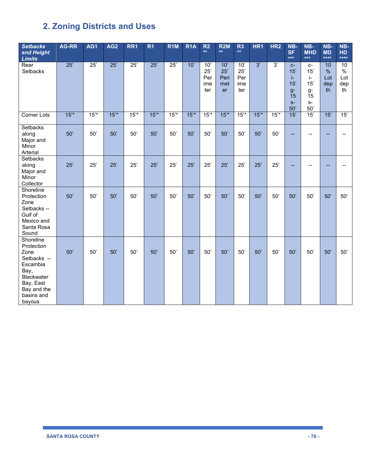| <b>Setbacks</b><br>and Height<br><b>Limits</b>                                                                                       | <b>AG-RR</b> | AG1 | AG <sub>2</sub> | RR <sub>1</sub>  | R <sub>1</sub> | R <sub>1</sub> M | R <sub>1</sub> A | R <sub>2</sub><br>$**$          | R2M<br>$\star\star$             | R <sub>3</sub><br>$\star\star$  | HR <sub>1</sub> | HR <sub>2</sub> | NB-<br><b>SF</b><br>$***$                             | NB-<br><b>MHD</b><br>$***$                                      | NB-<br><b>MD</b><br>****                | NB-<br><b>HD</b><br>****                |
|--------------------------------------------------------------------------------------------------------------------------------------|--------------|-----|-----------------|------------------|----------------|------------------|------------------|---------------------------------|---------------------------------|---------------------------------|-----------------|-----------------|-------------------------------------------------------|-----------------------------------------------------------------|-----------------------------------------|-----------------------------------------|
| Rear<br><b>Setbacks</b>                                                                                                              | 25'          | 25' | 25'             | $\overline{25'}$ | 25'            | $\overline{25'}$ | 10'              | 10'<br>25'<br>Per<br>ime<br>ter | 10'<br>25'<br>Peri<br>met<br>er | 10'<br>25'<br>Per<br>ime<br>ter | 3'              | 3'              | $C-$<br>15'<br>j.<br>15'<br>$q-$<br>15<br>$S-$<br>50' | $C-$<br>15'<br>$\mathbf{i}$<br>15'<br>$g-$<br>15<br>$S-$<br>50' | 10<br>$\frac{0}{0}$<br>Lot<br>dep<br>th | 10<br>$\frac{0}{0}$<br>Lot<br>dep<br>th |
| Corner Lots                                                                                                                          | 15'          | 15' | 15'             | 15'              | 15'            | 15'              | 15'              | $15^{*}$                        | $15^{*}$                        | 15'                             | 15'             | $15^{*}$        | 15'                                                   | 15'                                                             | 15'                                     | 15'                                     |
| Setbacks<br>along<br>Major and<br>Minor<br>Arterial                                                                                  | 50'          | 50' | 50'             | 50'              | 50'            | 50'              | 50'              | 50'                             | 50'                             | 50'                             | 50'             | 50'             |                                                       |                                                                 |                                         |                                         |
| <b>Setbacks</b><br>along<br>Major and<br>Minor<br>Collector                                                                          | 25'          | 25' | 25'             | 25'              | 25'            | 25'              | 25'              | 25'                             | 25'                             | 25'                             | 25'             | 25'             |                                                       |                                                                 |                                         |                                         |
| Shoreline<br>Protection<br>Zone<br>Setbacks --<br>Gulf of<br>Mexico and<br>Santa Rosa<br>Sound                                       | 50'          | 50' | 50'             | 50'              | 50'            | 50'              | 50'              | 50'                             | 50'                             | 50'                             | 50'             | 50'             | 50'                                                   | 50'                                                             | 50'                                     | 50'                                     |
| Shoreline<br>Protection<br>Zone<br>Setbacks --<br>Escambia<br>Bay,<br>Blackwater<br>Bay, East<br>Bay and the<br>basins and<br>bayous | 50'          | 50' | 50'             | 50'              | 50'            | 50'              | 50'              | 50'                             | 50'                             | 50'                             | 50'             | 50'             | 50'                                                   | 50'                                                             | 50'                                     | 50'                                     |

ı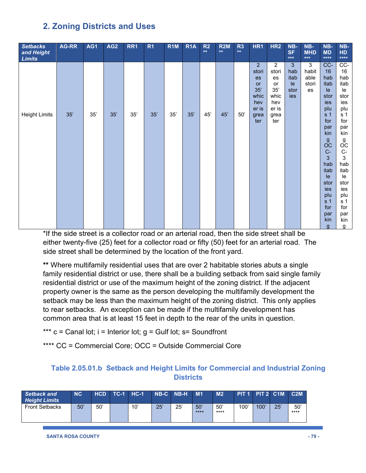| <b>Setbacks</b><br>and Height<br><b>Limits</b> | AG-RR | AG1 | AG <sub>2</sub> | RR1 | R <sub>1</sub> | R <sub>1</sub> M | R <sub>1</sub> A | R2<br>$**$ | <b>R2M</b><br>$**$ | R <sub>3</sub><br>$**$ | HR1                     | HR <sub>2</sub>         | NB-<br><b>SF</b><br>$***$ | NB-<br><b>MHD</b><br>$***$ | NB-<br><b>MD</b><br>$****$ | NB-<br>HD<br>$****$ |
|------------------------------------------------|-------|-----|-----------------|-----|----------------|------------------|------------------|------------|--------------------|------------------------|-------------------------|-------------------------|---------------------------|----------------------------|----------------------------|---------------------|
|                                                |       |     |                 |     |                |                  |                  |            |                    |                        | 2 <sup>2</sup><br>stori | $\overline{2}$<br>stori | 3<br>hab                  | 3<br>habit                 | CC-<br>16                  | CC-<br>16           |
|                                                |       |     |                 |     |                |                  |                  |            |                    |                        | es                      | es                      | itab                      | able                       | hab                        | hab                 |
|                                                |       |     |                 |     |                |                  |                  |            |                    |                        | or                      | or                      | le                        | stori                      | itab                       | itab                |
|                                                |       |     |                 |     |                |                  |                  |            |                    |                        | 35'                     | 35'                     | stor                      | es                         | le                         | le                  |
|                                                |       |     |                 |     |                |                  |                  |            |                    |                        | whic                    | whic                    | ies                       |                            | stor                       | stor                |
|                                                |       |     |                 |     |                |                  |                  |            |                    |                        | hev                     | hev                     |                           |                            | ies                        | ies                 |
|                                                |       |     |                 |     |                |                  |                  |            |                    |                        | er is                   | er is                   |                           |                            | plu                        | plu                 |
| <b>Height Limits</b>                           | 35'   | 35' | 35'             | 35' | 35'            | 35'              | 35'              | 45'        | 45'                | 50'                    | grea                    | grea                    |                           |                            | s <sub>1</sub>             | s 1                 |
|                                                |       |     |                 |     |                |                  |                  |            |                    |                        | ter                     | ter                     |                           |                            | for                        | for                 |
|                                                |       |     |                 |     |                |                  |                  |            |                    |                        |                         |                         |                           |                            | par<br>kin                 | par<br>kin          |
|                                                |       |     |                 |     |                |                  |                  |            |                    |                        |                         |                         |                           |                            |                            |                     |
|                                                |       |     |                 |     |                |                  |                  |            |                    |                        |                         |                         |                           |                            | g<br>OC                    | g<br>OC             |
|                                                |       |     |                 |     |                |                  |                  |            |                    |                        |                         |                         |                           |                            | $C -$                      | $C-$                |
|                                                |       |     |                 |     |                |                  |                  |            |                    |                        |                         |                         |                           |                            | 3                          | 3                   |
|                                                |       |     |                 |     |                |                  |                  |            |                    |                        |                         |                         |                           |                            | hab                        | hab                 |
|                                                |       |     |                 |     |                |                  |                  |            |                    |                        |                         |                         |                           |                            | itab                       | itab                |
|                                                |       |     |                 |     |                |                  |                  |            |                    |                        |                         |                         |                           |                            | le                         | le                  |
|                                                |       |     |                 |     |                |                  |                  |            |                    |                        |                         |                         |                           |                            | stor                       | stor                |
|                                                |       |     |                 |     |                |                  |                  |            |                    |                        |                         |                         |                           |                            | ies                        | ies                 |
|                                                |       |     |                 |     |                |                  |                  |            |                    |                        |                         |                         |                           |                            | plu                        | plu                 |
|                                                |       |     |                 |     |                |                  |                  |            |                    |                        |                         |                         |                           |                            | s <sub>1</sub>             | s <sub>1</sub>      |
|                                                |       |     |                 |     |                |                  |                  |            |                    |                        |                         |                         |                           |                            | for<br>par                 | for                 |
|                                                |       |     |                 |     |                |                  |                  |            |                    |                        |                         |                         |                           |                            | kin                        | par<br>kin          |
|                                                |       |     |                 |     |                |                  |                  |            |                    |                        |                         |                         |                           |                            | $\mathbf{g}$               | g                   |

\*If the side street is a collector road or an arterial road, then the side street shall be either twenty-five (25) feet for a collector road or fifty (50) feet for an arterial road. The side street shall be determined by the location of the front yard.

**\*\*** Where multifamily residential uses that are over 2 habitable stories abuts a single family residential district or use, there shall be a building setback from said single family residential district or use of the maximum height of the zoning district. If the adjacent property owner is the same as the person developing the multifamily development the setback may be less than the maximum height of the zoning district. This only applies to rear setbacks. An exception can be made if the multifamily development has common area that is at least 15 feet in depth to the rear of the units in question.

- \*\*\*  $c =$  Canal lot;  $i =$  Interior lot;  $g =$  Gulf lot;  $s =$  Soundfront
- \*\*\*\* CC = Commercial Core; OCC = Outside Commercial Core

## **Table 2.05.01.b Setback and Height Limits for Commercial and Industrial Zoning Districts**

| <b>Setback and</b><br><b>Height Limits</b> | <b>NC</b> | <b>HCD</b> | $TC-1$ | $HC-1$ |     | NB-C NB-H | M <sub>1</sub> | M <sub>2</sub> |      | PIT 1 PIT 2 C1M |     | C2M          |
|--------------------------------------------|-----------|------------|--------|--------|-----|-----------|----------------|----------------|------|-----------------|-----|--------------|
| <b>Front Setbacks</b>                      | 50'       | 50'        |        | 10'    | 25' | 25'       | 50'<br>****    | 50'<br>****    | 100' | 100'            | 25' | 50'<br>$***$ |

**SANTA ROSA COUNTY - 79 -**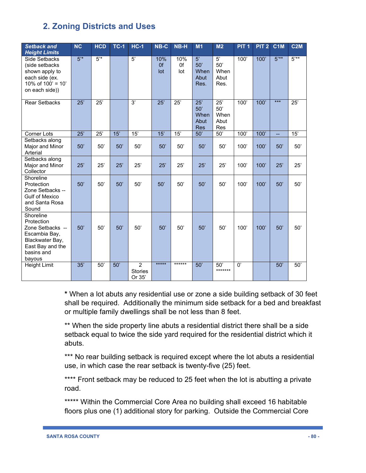| <b>Setback and</b><br><b>Height Limits</b>                                                                                  | <b>NC</b> | <b>HCD</b> | <b>TC-1</b> | $HC-1$                                     | NB-C             | NB-H             | M1                                       | M <sub>2</sub>                           | PIT <sub>1</sub> | PIT <sub>2</sub> | C <sub>1</sub> M | C <sub>2</sub> M |
|-----------------------------------------------------------------------------------------------------------------------------|-----------|------------|-------------|--------------------------------------------|------------------|------------------|------------------------------------------|------------------------------------------|------------------|------------------|------------------|------------------|
| Side Setbacks<br>(side setbacks<br>shown apply to<br>each side (ex.<br>10% of $100' = 10'$<br>on each side))                | 5'        | $5'$ *     |             | 5'                                         | 10%<br>0f<br>lot | 10%<br>0f<br>lot | 5'<br>50'<br>When<br>Abut<br>Res.        | 5'<br>50'<br>When<br>Abut<br>Res.        | $\overline{100}$ | 100'             | $5***$           | $5***$           |
| <b>Rear Setbacks</b>                                                                                                        | 25'       | 25'        |             | 3'                                         | 25'              | 25'              | 25'<br>50'<br>When<br>Abut<br><b>Res</b> | 25'<br>50'<br>When<br>Abut<br><b>Res</b> | 100'             | 100'             | $***$            | 25'              |
| Corner Lots                                                                                                                 | 25'       | 25'        | 15'         | 15'                                        | 15'              | 15'              | 50'                                      | 50'                                      | 100'             | 100'             | L.               | 15'              |
| Setbacks along<br>Major and Minor<br>Arterial                                                                               | 50'       | 50'        | 50'         | 50'                                        | 50'              | 50'              | 50'                                      | 50'                                      | 100'             | 100'             | 50'              | 50'              |
| Setbacks along<br>Major and Minor<br>Collector                                                                              | 25'       | 25'        | 25'         | 25'                                        | 25'              | 25'              | 25'                                      | 25'                                      | 100'             | 100'             | 25'              | 25'              |
| Shoreline<br>Protection<br>Zone Setbacks --<br><b>Gulf of Mexico</b><br>and Santa Rosa<br>Sound                             | 50'       | 50'        | 50'         | 50'                                        | 50'              | 50'              | 50'                                      | 50'                                      | 100'             | 100'             | 50'              | 50'              |
| Shoreline<br>Protection<br>Zone Setbacks --<br>Escambia Bay,<br>Blackwater Bay,<br>East Bay and the<br>basins and<br>bayous | 50'       | 50'        | 50'         | 50'                                        | 50'              | 50'              | 50'                                      | 50'                                      | 100'             | 100'             | 50'              | 50'              |
| Height Limit                                                                                                                | 35'       | 50'        | 50'         | $\overline{2}$<br><b>Stories</b><br>Or 35' | $***$ **         | ******           | 50'                                      | 50'<br>*******                           | 0'               |                  | 50'              | 50'              |

**\*** When a lot abuts any residential use or zone a side building setback of 30 feet shall be required. Additionally the minimum side setback for a bed and breakfast or multiple family dwellings shall be not less than 8 feet.

\*\* When the side property line abuts a residential district there shall be a side setback equal to twice the side yard required for the residential district which it abuts.

\*\*\* No rear building setback is required except where the lot abuts a residential use, in which case the rear setback is twenty-five (25) feet.

\*\*\*\* Front setback may be reduced to 25 feet when the lot is abutting a private road.

\*\*\*\*\* Within the Commercial Core Area no building shall exceed 16 habitable floors plus one (1) additional story for parking. Outside the Commercial Core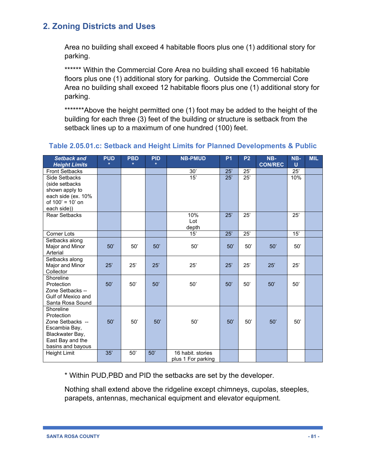Area no building shall exceed 4 habitable floors plus one (1) additional story for parking.

\*\*\*\*\*\* Within the Commercial Core Area no building shall exceed 16 habitable floors plus one (1) additional story for parking. Outside the Commercial Core Area no building shall exceed 12 habitable floors plus one (1) additional story for parking.

\*\*\*\*\*\*\*Above the height permitted one (1) foot may be added to the height of the building for each three (3) feet of the building or structure is setback from the setback lines up to a maximum of one hundred (100) feet.

| <b>Setback and</b><br><b>Height Limits</b>                                                                               | <b>PUD</b><br>$\star$ | <b>PBD</b><br>$\star$ | <b>PID</b><br>$\star$ | <b>NB-PMUD</b>                          | P <sub>1</sub>   | <b>P2</b> | NB-<br><b>CON/REC</b> | NB-<br>U | <b>MIL</b> |
|--------------------------------------------------------------------------------------------------------------------------|-----------------------|-----------------------|-----------------------|-----------------------------------------|------------------|-----------|-----------------------|----------|------------|
| <b>Front Setbacks</b>                                                                                                    |                       |                       |                       | 30'                                     | 25'              | 25'       |                       | 25'      |            |
| Side Setbacks<br>(side setbacks)<br>shown apply to<br>each side (ex. 10%<br>of 100' = 10' on<br>each side))              |                       |                       |                       | 15'                                     | $\overline{25'}$ | 25'       |                       | 10%      |            |
| <b>Rear Setbacks</b>                                                                                                     |                       |                       |                       | 10%<br>Lot<br>depth                     | 25'              | 25'       |                       | 25'      |            |
| Corner Lots                                                                                                              |                       |                       |                       | 15'                                     | 25'              | 25'       |                       | 15'      |            |
| Setbacks along<br>Major and Minor<br>Arterial                                                                            | 50'                   | 50'                   | 50'                   | 50'                                     | 50'              | 50'       | 50'                   | 50'      |            |
| Setbacks along<br>Major and Minor<br>Collector                                                                           | 25'                   | 25'                   | 25'                   | 25'                                     | 25'              | 25'       | 25'                   | 25'      |            |
| Shoreline<br>Protection<br>Zone Setbacks --<br>Gulf of Mexico and<br>Santa Rosa Sound                                    | 50'                   | 50'                   | 50'                   | 50'                                     | 50'              | 50'       | 50'                   | 50'      |            |
| Shoreline<br>Protection<br>Zone Setbacks --<br>Escambia Bay,<br>Blackwater Bay,<br>East Bay and the<br>basins and bayous | 50'                   | 50'                   | 50'                   | 50'                                     | 50'              | 50'       | 50'                   | 50'      |            |
| Height Limit                                                                                                             | 35'                   | 50'                   | 50'                   | 16 habit. stories<br>plus 1 For parking |                  |           |                       |          |            |

### **Table 2.05.01.c: Setback and Height Limits for Planned Developments & Public**

\* Within PUD,PBD and PID the setbacks are set by the developer.

Nothing shall extend above the ridgeline except chimneys, cupolas, steeples, parapets, antennas, mechanical equipment and elevator equipment.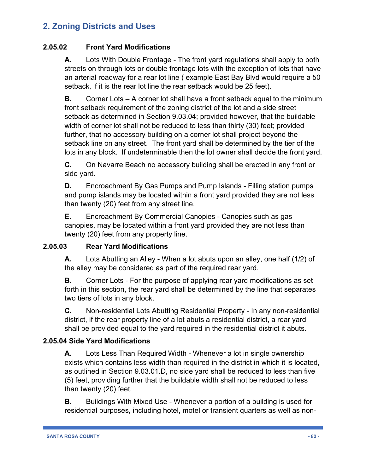## **2.05.02 Front Yard Modifications**

**A.** Lots With Double Frontage - The front yard regulations shall apply to both streets on through lots or double frontage lots with the exception of lots that have an arterial roadway for a rear lot line ( example East Bay Blvd would require a 50 setback, if it is the rear lot line the rear setback would be 25 feet).

**B.** Corner Lots – A corner lot shall have a front setback equal to the minimum front setback requirement of the zoning district of the lot and a side street setback as determined in Section 9.03.04; provided however, that the buildable width of corner lot shall not be reduced to less than thirty (30) feet; provided further, that no accessory building on a corner lot shall project beyond the setback line on any street. The front yard shall be determined by the tier of the lots in any block. If undeterminable then the lot owner shall decide the front yard.

**C.** On Navarre Beach no accessory building shall be erected in any front or side yard.

**D.** Encroachment By Gas Pumps and Pump Islands - Filling station pumps and pump islands may be located within a front yard provided they are not less than twenty (20) feet from any street line.

**E.** Encroachment By Commercial Canopies - Canopies such as gas canopies, may be located within a front yard provided they are not less than twenty (20) feet from any property line.

## **2.05.03 Rear Yard Modifications**

**A.** Lots Abutting an Alley - When a lot abuts upon an alley, one half (1/2) of the alley may be considered as part of the required rear yard.

**B.** Corner Lots - For the purpose of applying rear yard modifications as set forth in this section, the rear yard shall be determined by the line that separates two tiers of lots in any block.

**C.** Non-residential Lots Abutting Residential Property - In any non-residential district, if the rear property line of a lot abuts a residential district, a rear yard shall be provided equal to the yard required in the residential district it abuts.

## **2.05.04 Side Yard Modifications**

**A.** Lots Less Than Required Width - Whenever a lot in single ownership exists which contains less width than required in the district in which it is located, as outlined in Section 9.03.01.D, no side yard shall be reduced to less than five (5) feet, providing further that the buildable width shall not be reduced to less than twenty (20) feet.

**B.** Buildings With Mixed Use - Whenever a portion of a building is used for residential purposes, including hotel, motel or transient quarters as well as non-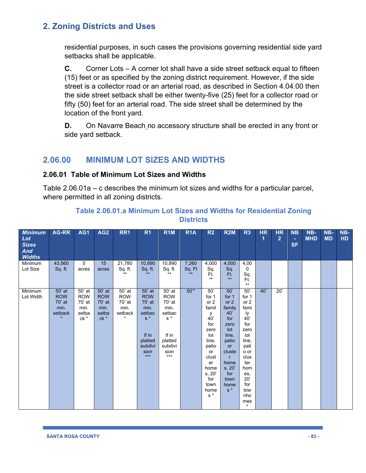residential purposes, in such cases the provisions governing residential side yard setbacks shall be applicable.

**C.** Corner Lots – A corner lot shall have a side street setback equal to fifteen (15) feet or as specified by the zoning district requirement. However, if the side street is a collector road or an arterial road, as described in Section 4.04.00 then the side street setback shall be either twenty-five (25) feet for a collector road or fifty (50) feet for an arterial road. The side street shall be determined by the location of the front yard.

**D.** On Navarre Beach no accessory structure shall be erected in any front or side yard setback.

## **2.06.00 MINIMUM LOT SIZES AND WIDTHS**

#### **2.06.01 Table of Minimum Lot Sizes and Widths**

Table 2.06.01a – c describes the minimum lot sizes and widths for a particular parcel, where permitted in all zoning districts.

| <b>Minimum</b><br>Lot<br><b>Sizes</b><br><b>And</b><br><b>Widths</b> | AG-RR                                             | AG1                                                     | AG <sub>2</sub>                                           | RR1                                                          | R <sub>1</sub>                                                                                              | R <sub>1</sub> M                                                                                          | R <sub>1</sub> A         | R <sub>2</sub>                                                                                                                                             | <b>R2M</b>                                                                                                                                                               | R <sub>3</sub>                                                                                                                                                      | <b>HR</b><br>1 | <b>HR</b><br>$\overline{2}$ | NB<br>÷<br><b>SF</b> | $NB-$<br><b>MHD</b> | NB-<br><b>MD</b> | NB-<br><b>HD</b> |
|----------------------------------------------------------------------|---------------------------------------------------|---------------------------------------------------------|-----------------------------------------------------------|--------------------------------------------------------------|-------------------------------------------------------------------------------------------------------------|-----------------------------------------------------------------------------------------------------------|--------------------------|------------------------------------------------------------------------------------------------------------------------------------------------------------|--------------------------------------------------------------------------------------------------------------------------------------------------------------------------|---------------------------------------------------------------------------------------------------------------------------------------------------------------------|----------------|-----------------------------|----------------------|---------------------|------------------|------------------|
| Minimum<br>Lot Size                                                  | 43,560<br>Sq. ft.                                 | 5<br>acres                                              | 15<br>acres                                               | 21,780<br>Sq. ft.<br>$***$                                   | 10,890<br>Sq. ft.<br>$**$                                                                                   | 10,890<br>Sq. ft.<br>$***$                                                                                | 7,260<br>Sq. Ft<br>$***$ | 4,000<br>Sq.<br>Ft.<br>$***$                                                                                                                               | 4,000<br>Sq.<br>Ft.<br>$**$                                                                                                                                              | 4,00<br>$\mathbf{0}$<br>Sq.<br>Ft.<br>$**$                                                                                                                          |                |                             |                      |                     |                  |                  |
| Minimum<br>Lot Width                                                 | 50' at<br><b>ROW</b><br>70' at<br>min.<br>setback | 50' at<br><b>ROW</b><br>70' at<br>min.<br>setba<br>ck * | 50' at<br><b>ROW</b><br>$70'$ at<br>min.<br>setba<br>ck * | 50' at<br><b>ROW</b><br>70' at<br>min.<br>setback<br>$\star$ | 50' at<br><b>ROW</b><br>$70'$ at<br>min.<br>setbac<br>$k^*$<br>If in<br>platted<br>subdivi<br>sion<br>$***$ | 50' at<br><b>ROW</b><br>70' at<br>min.<br>setbac<br>$k^*$<br>If in<br>platted<br>subdivi<br>sion<br>$***$ | $50^{*}$                 | 50'<br>for 1<br>or $2$<br>famil<br>У<br>40'<br>for<br>zero<br>lot<br>line,<br>patio<br>or<br>clust<br>er<br>home<br>s, 20'<br>for<br>town<br>home<br>$s^*$ | 50'<br>for 1<br>or $2$<br>family<br>40'<br>for<br>zero<br>Iot<br>line,<br>patio<br><b>or</b><br>cluste<br>$\mathsf{r}$<br>home<br>s, 20'<br>for<br>town<br>home<br>$s^*$ | 50'<br>for 1<br>or 2<br>fami<br>ly<br>40'<br>for<br>zero<br>lot<br>line,<br>pati<br>o or<br>clus<br>ter<br>hom<br>es,<br>20'<br>for<br>tow<br>nho<br>mes<br>$\star$ | 40'            | 20'                         |                      |                     |                  |                  |

#### **Table 2.06.01.a Minimum Lot Sizes and Widths for Residential Zoning Districts**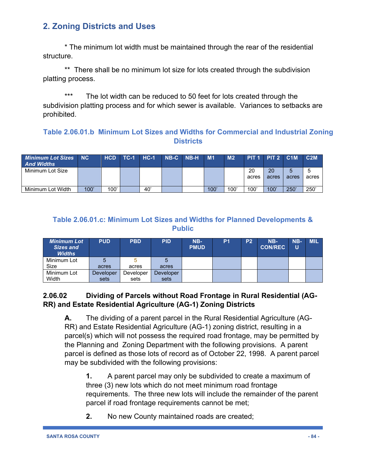\* The minimum lot width must be maintained through the rear of the residential structure.

\*\* There shall be no minimum lot size for lots created through the subdivision platting process.

\*\*\* The lot width can be reduced to 50 feet for lots created through the subdivision platting process and for which sewer is available. Variances to setbacks are prohibited.

## **Table 2.06.01.b Minimum Lot Sizes and Widths for Commercial and Industrial Zoning Districts**

| Minimum Lot Sizes NC<br><b>And Widths</b> |      | <b>HCD</b> | <b>TC-1 HC-1</b> |     | $'$ NB-C NB-H $'$ | <b>M1</b> | M <sub>2</sub> | PIT <sub>1</sub> PIT <sub>2</sub> C <sub>1</sub> M |             |       | C2M   |
|-------------------------------------------|------|------------|------------------|-----|-------------------|-----------|----------------|----------------------------------------------------|-------------|-------|-------|
| Minimum Lot Size                          |      |            |                  |     |                   |           |                | 20<br>acres                                        | 20<br>acres | acres | acres |
| Minimum Lot Width                         | 100' | 100'       |                  | 40' |                   | 100'      | 100            | 100'                                               | 100'        | 250'  | 250'  |

## **Table 2.06.01.c: Minimum Lot Sizes and Widths for Planned Developments & Public**

| <b>Minimum Lot</b><br>Sizes and<br><b>Widths</b> | <b>PUD</b> | <b>PBD</b> | <b>PID</b> | $NB-$<br><b>PMUD</b> | P <sub>1</sub> | P <sub>2</sub> | NB-<br><b>CON/REC</b> | NB-<br>U | <b>MIL</b> |
|--------------------------------------------------|------------|------------|------------|----------------------|----------------|----------------|-----------------------|----------|------------|
| Minimum Lot                                      | 5          |            |            |                      |                |                |                       |          |            |
| Size                                             | acres      | acres      | acres      |                      |                |                |                       |          |            |
| Minimum Lot                                      | Developer  | Developer  | Developer  |                      |                |                |                       |          |            |
| Width                                            | sets       | sets       | sets       |                      |                |                |                       |          |            |

## **2.06.02 Dividing of Parcels without Road Frontage in Rural Residential (AG-RR) and Estate Residential Agriculture (AG-1) Zoning Districts**

**A.** The dividing of a parent parcel in the Rural Residential Agriculture (AG-RR) and Estate Residential Agriculture (AG-1) zoning district, resulting in a parcel(s) which will not possess the required road frontage, may be permitted by the Planning and Zoning Department with the following provisions. A parent parcel is defined as those lots of record as of October 22, 1998. A parent parcel may be subdivided with the following provisions:

**1.** A parent parcel may only be subdivided to create a maximum of three (3) new lots which do not meet minimum road frontage requirements. The three new lots will include the remainder of the parent parcel if road frontage requirements cannot be met;

**2.** No new County maintained roads are created;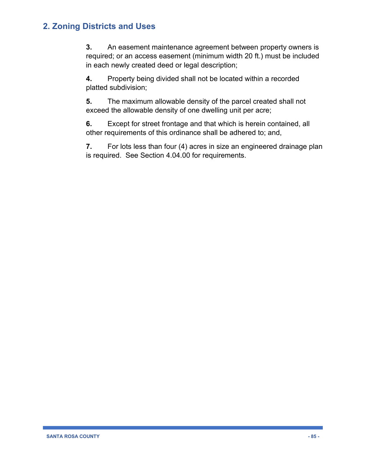**3.** An easement maintenance agreement between property owners is required; or an access easement (minimum width 20 ft.) must be included in each newly created deed or legal description;

**4.** Property being divided shall not be located within a recorded platted subdivision;

**5.** The maximum allowable density of the parcel created shall not exceed the allowable density of one dwelling unit per acre;

**6.** Except for street frontage and that which is herein contained, all other requirements of this ordinance shall be adhered to; and,

**7.** For lots less than four (4) acres in size an engineered drainage plan is required. See Section 4.04.00 for requirements.